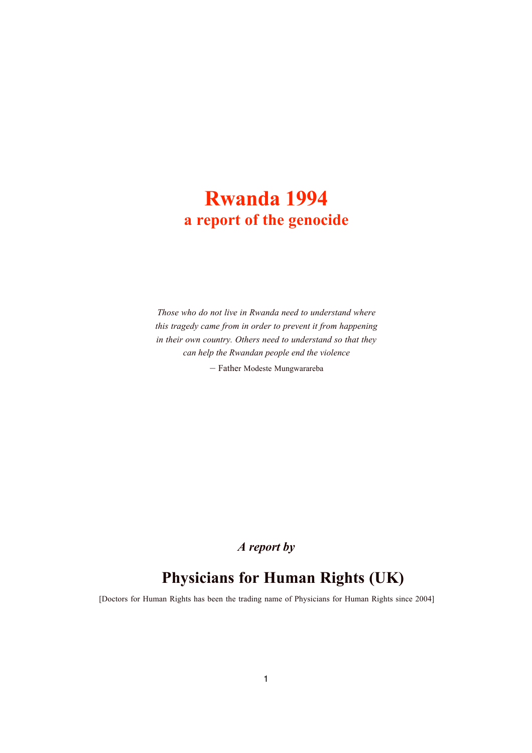# **Rwanda 1994 a report of the genocide**

*Those who do not live in Rwanda need to understand where this tragedy came from in order to prevent it from happening in their own country. Others need to understand so that they can help the Rwandan people end the violence*  – Father Modeste Mungwarareba

*A report by*

# **Physicians for Human Rights (UK)**

[Doctors for Human Rights has been the trading name of Physicians for Human Rights since 2004]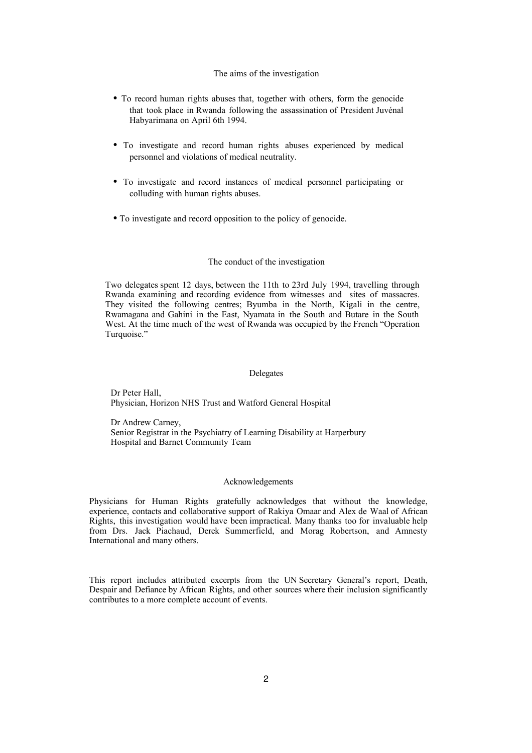### The aims of the investigation

- **•** To record human rights abuses that, together with others, form the genocide that took place in Rwanda following the assassination of President Juvénal Habyarimana on April 6th 1994.
- **•** To investigate and record human rights abuses experienced by medical personnel and violations of medical neutrality.
- **•** To investigate and record instances of medical personnel participating or colluding with human rights abuses.
- **•** To investigate and record opposition to the policy of genocide.

### The conduct of the investigation

Two delegates spent 12 days, between the 11th to 23rd July 1994, travelling through Rwanda examining and recording evidence from witnesses and sites of massacres. They visited the following centres; Byumba in the North, Kigali in the centre, Rwamagana and Gahini in the East, Nyamata in the South and Butare in the South West. At the time much of the west of Rwanda was occupied by the French "Operation Turquoise."

#### Delegates

Dr Peter Hall, Physician, Horizon NHS Trust and Watford General Hospital

Dr Andrew Carney, Senior Registrar in the Psychiatry of Learning Disability at Harperbury Hospital and Barnet Community Team

#### Acknowledgements

Physicians for Human Rights gratefully acknowledges that without the knowledge, experience, contacts and collaborative support of Rakiya Omaar and Alex de Waal of African Rights, this investigation would have been impractical. Many thanks too for invaluable help from Drs. Jack Piachaud, Derek Summerfield, and Morag Robertson, and Amnesty International and many others.

This report includes attributed excerpts from the UN Secretary General's report, Death, Despair and Defiance by African Rights, and other sources where their inclusion significantly contributes to a more complete account of events.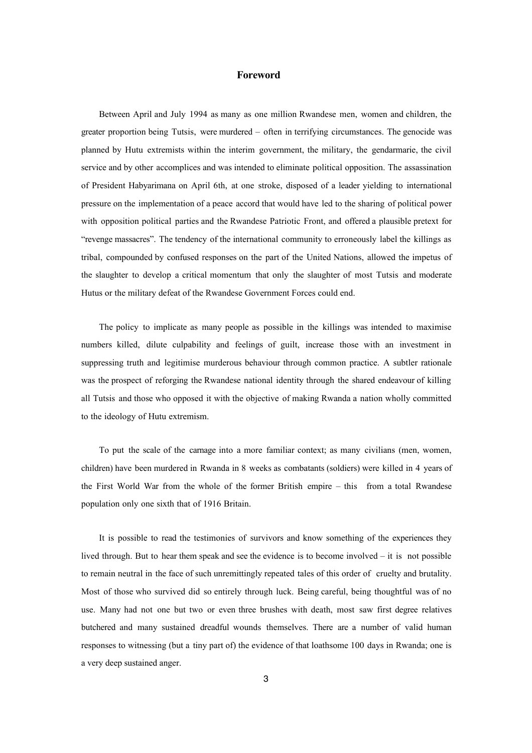### **Foreword**

Between April and July 1994 as many as one million Rwandese men, women and children, the greater proportion being Tutsis, were murdered – often in terrifying circumstances. The genocide was planned by Hutu extremists within the interim government, the military, the gendarmarie, the civil service and by other accomplices and was intended to eliminate political opposition. The assassination of President Habyarimana on April 6th, at one stroke, disposed of a leader yielding to international pressure on the implementation of a peace accord that would have led to the sharing of political power with opposition political parties and the Rwandese Patriotic Front, and offered a plausible pretext for "revenge massacres". The tendency of the international community to erroneously label the killings as tribal, compounded by confused responses on the part of the United Nations, allowed the impetus of the slaughter to develop a critical momentum that only the slaughter of most Tutsis and moderate Hutus or the military defeat of the Rwandese Government Forces could end.

The policy to implicate as many people as possible in the killings was intended to maximise numbers killed, dilute culpability and feelings of guilt, increase those with an investment in suppressing truth and legitimise murderous behaviour through common practice. A subtler rationale was the prospect of reforging the Rwandese national identity through the shared endeavour of killing all Tutsis and those who opposed it with the objective of making Rwanda a nation wholly committed to the ideology of Hutu extremism.

To put the scale of the carnage into a more familiar context; as many civilians (men, women, children) have been murdered in Rwanda in 8 weeks as combatants (soldiers) were killed in 4 years of the First World War from the whole of the former British empire – this from a total Rwandese population only one sixth that of 1916 Britain.

It is possible to read the testimonies of survivors and know something of the experiences they lived through. But to hear them speak and see the evidence is to become involved – it is not possible to remain neutral in the face of such unremittingly repeated tales of this order of cruelty and brutality. Most of those who survived did so entirely through luck. Being careful, being thoughtful was of no use. Many had not one but two or even three brushes with death, most saw first degree relatives butchered and many sustained dreadful wounds themselves. There are a number of valid human responses to witnessing (but a tiny part of) the evidence of that loathsome 100 days in Rwanda; one is a very deep sustained anger.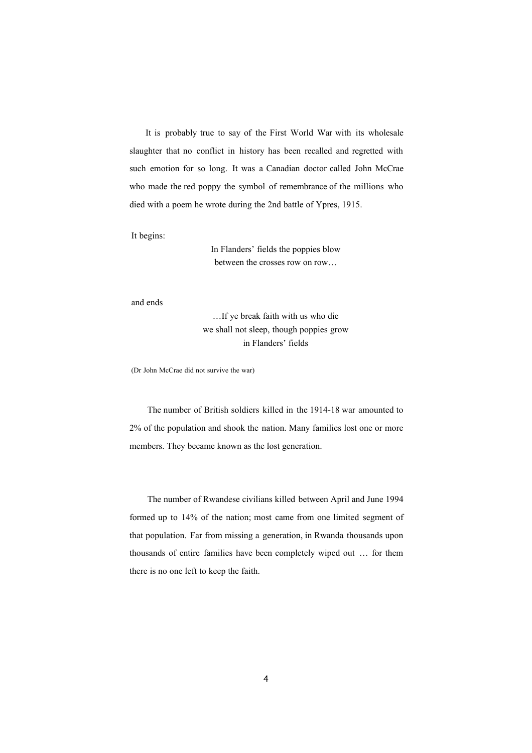It is probably true to say of the First World War with its wholesale slaughter that no conflict in history has been recalled and regretted with such emotion for so long. It was a Canadian doctor called John McCrae who made the red poppy the symbol of remembrance of the millions who died with a poem he wrote during the 2nd battle of Ypres, 1915.

It begins:

In Flanders' fields the poppies blow between the crosses row on row…

and ends

…If ye break faith with us who die we shall not sleep, though poppies grow in Flanders' fields

(Dr John McCrae did not survive the war)

The number of British soldiers killed in the 1914-18 war amounted to 2% of the population and shook the nation. Many families lost one or more members. They became known as the lost generation.

The number of Rwandese civilians killed between April and June 1994 formed up to 14% of the nation; most came from one limited segment of that population. Far from missing a generation, in Rwanda thousands upon thousands of entire families have been completely wiped out … for them there is no one left to keep the faith.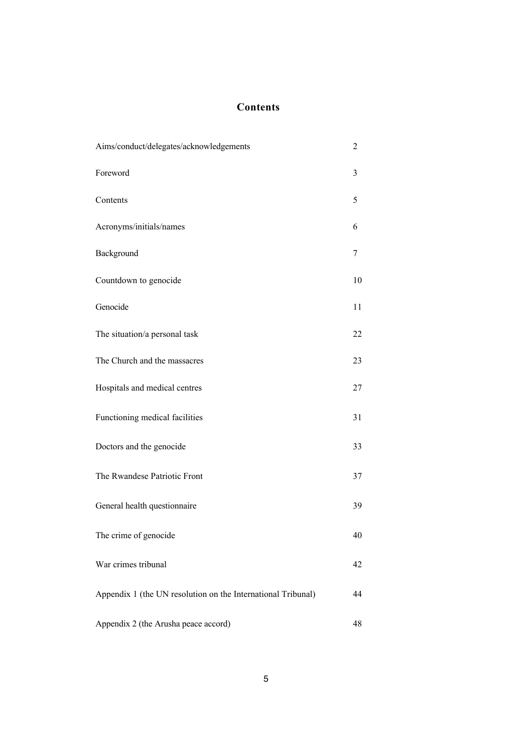## **Contents**

| Aims/conduct/delegates/acknowledgements                      |    |
|--------------------------------------------------------------|----|
| Foreword                                                     | 3  |
| Contents                                                     | 5  |
| Acronyms/initials/names                                      | 6  |
| Background                                                   | 7  |
| Countdown to genocide                                        | 10 |
| Genocide                                                     | 11 |
| The situation/a personal task                                | 22 |
| The Church and the massacres                                 | 23 |
| Hospitals and medical centres                                | 27 |
| Functioning medical facilities                               | 31 |
| Doctors and the genocide                                     | 33 |
| The Rwandese Patriotic Front                                 | 37 |
| General health questionnaire                                 | 39 |
| The crime of genocide                                        | 40 |
| War crimes tribunal                                          | 42 |
| Appendix 1 (the UN resolution on the International Tribunal) | 44 |
| Appendix 2 (the Arusha peace accord)                         | 48 |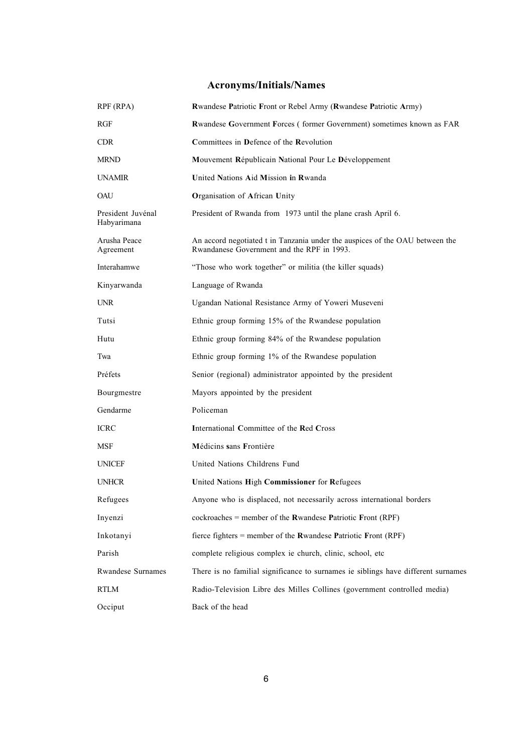## **Acronyms/Initials/Names**

| RPF (RPA)                        | Rwandese Patriotic Front or Rebel Army (Rwandese Patriotic Army)                                                           |
|----------------------------------|----------------------------------------------------------------------------------------------------------------------------|
| RGF                              | Rwandese Government Forces (former Government) sometimes known as FAR                                                      |
| <b>CDR</b>                       | Committees in Defence of the Revolution                                                                                    |
| <b>MRND</b>                      | Mouvement Républicain National Pour Le Développement                                                                       |
| <b>UNAMIR</b>                    | United Nations Aid Mission in Rwanda                                                                                       |
| <b>OAU</b>                       | Organisation of African Unity                                                                                              |
| President Juvénal<br>Habyarimana | President of Rwanda from 1973 until the plane crash April 6.                                                               |
| Arusha Peace<br>Agreement        | An accord negotiated t in Tanzania under the auspices of the OAU between the<br>Rwandanese Government and the RPF in 1993. |
| Interahamwe                      | "Those who work together" or militia (the killer squads)                                                                   |
| Kinyarwanda                      | Language of Rwanda                                                                                                         |
| UNR                              | Ugandan National Resistance Army of Yoweri Museveni                                                                        |
| Tutsi                            | Ethnic group forming 15% of the Rwandese population                                                                        |
| Hutu                             | Ethnic group forming 84% of the Rwandese population                                                                        |
| Twa                              | Ethnic group forming 1% of the Rwandese population                                                                         |
| Préfets                          | Senior (regional) administrator appointed by the president                                                                 |
| Bourgmestre                      | Mayors appointed by the president                                                                                          |
| Gendarme                         | Policeman                                                                                                                  |
| <b>ICRC</b>                      | International Committee of the Red Cross                                                                                   |
| MSF                              | Médicins sans Frontière                                                                                                    |
| <b>UNICEF</b>                    | United Nations Childrens Fund                                                                                              |
| <b>UNHCR</b>                     | United Nations High Commissioner for Refugees                                                                              |
| Refugees                         | Anyone who is displaced, not necessarily across international borders                                                      |
| Inyenzi                          | $cockroaches = member of the Rwanda.$ Patriotic Front (RPF)                                                                |
| Inkotanyi                        | fierce fighters = member of the Rwandese Patriotic Front (RPF)                                                             |
| Parish                           | complete religious complex ie church, clinic, school, etc                                                                  |
| Rwandese Surnames                | There is no familial significance to surnames ie siblings have different surnames                                          |
| <b>RTLM</b>                      | Radio-Television Libre des Milles Collines (government controlled media)                                                   |
| Occiput                          | Back of the head                                                                                                           |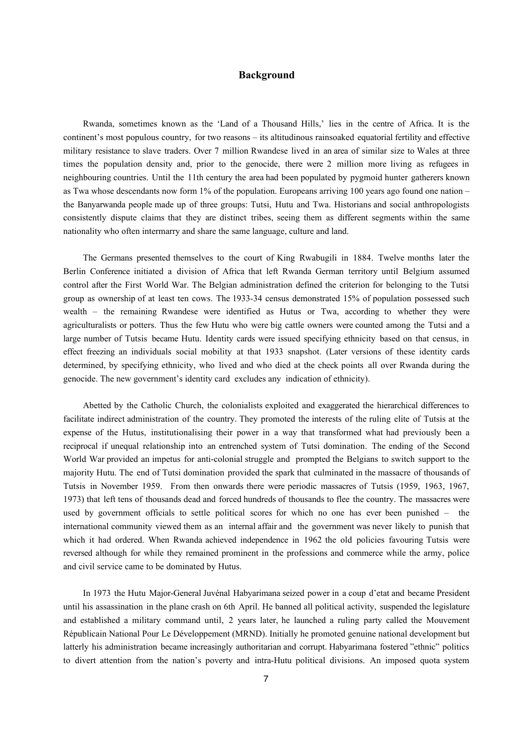### **Background**

Rwanda, sometimes known as the 'Land of a Thousand Hills,' lies in the centre of Africa. It is the continent's most populous country, for two reasons – its altitudinous rainsoaked equatorial fertility and effective military resistance to slave traders. Over 7 million Rwandese lived in an area of similar size to Wales at three times the population density and, prior to the genocide, there were 2 million more living as refugees in neighbouring countries. Until the 11th century the area had been populated by pygmoid hunter gatherers known as Twa whose descendants now form 1% of the population. Europeans arriving 100 years ago found one nation – the Banyarwanda people made up of three groups: Tutsi, Hutu and Twa. Historians and social anthropologists consistently dispute claims that they are distinct tribes, seeing them as different segments within the same nationality who often intermarry and share the same language, culture and land.

The Germans presented themselves to the court of King Rwabugili in 1884. Twelve months later the Berlin Conference initiated a division of Africa that left Rwanda German territory until Belgium assumed control after the First World War. The Belgian administration defined the criterion for belonging to the Tutsi group as ownership of at least ten cows. The 1933-34 census demonstrated 15% of population possessed such wealth – the remaining Rwandese were identified as Hutus or Twa, according to whether they were agriculturalists or potters. Thus the few Hutu who were big cattle owners were counted among the Tutsi and a large number of Tutsis became Hutu. Identity cards were issued specifying ethnicity based on that census, in effect freezing an individuals social mobility at that 1933 snapshot. (Later versions of these identity cards determined, by specifying ethnicity, who lived and who died at the check points all over Rwanda during the genocide. The new government's identity card excludes any indication of ethnicity).

Abetted by the Catholic Church, the colonialists exploited and exaggerated the hierarchical differences to facilitate indirect administration of the country. They promoted the interests of the ruling elite of Tutsis at the expense of the Hutus, institutionalising their power in a way that transformed what had previously been a reciprocal if unequal relationship into an entrenched system of Tutsi domination. The ending of the Second World War provided an impetus for anti-colonial struggle and prompted the Belgians to switch support to the majority Hutu. The end of Tutsi domination provided the spark that culminated in the massacre of thousands of Tutsis in November 1959. From then onwards there were periodic massacres of Tutsis (1959, 1963, 1967, 1973) that left tens of thousands dead and forced hundreds of thousands to flee the country. The massacres were used by government officials to settle political scores for which no one has ever been punished – the international community viewed them as an internal affair and the government was never likely to punish that which it had ordered. When Rwanda achieved independence in 1962 the old policies favouring Tutsis were reversed although for while they remained prominent in the professions and commerce while the army, police and civil service came to be dominated by Hutus.

In 1973 the Hutu Major-General Juvénal Habyarimana seized power in a coup d'etat and became President until his assassination in the plane crash on 6th April. He banned all political activity, suspended the legislature and established a military command until, 2 years later, he launched a ruling party called the Mouvement Républicain National Pour Le Développement (MRND). Initially he promoted genuine national development but latterly his administration became increasingly authoritarian and corrupt. Habyarimana fostered "ethnic" politics to divert attention from the nation's poverty and intra-Hutu political divisions. An imposed quota system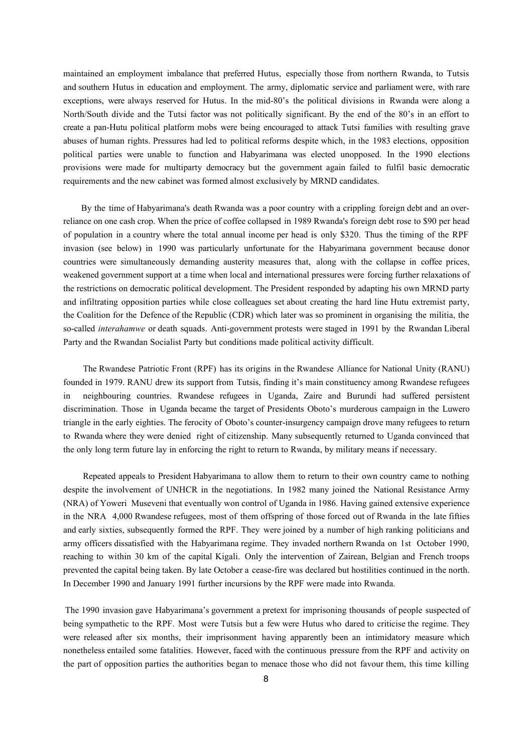maintained an employment imbalance that preferred Hutus, especially those from northern Rwanda, to Tutsis and southern Hutus in education and employment. The army, diplomatic service and parliament were, with rare exceptions, were always reserved for Hutus. In the mid-80's the political divisions in Rwanda were along a North/South divide and the Tutsi factor was not politically significant. By the end of the 80's in an effort to create a pan-Hutu political platform mobs were being encouraged to attack Tutsi families with resulting grave abuses of human rights. Pressures had led to political reforms despite which, in the 1983 elections, opposition political parties were unable to function and Habyarimana was elected unopposed. In the 1990 elections provisions were made for multiparty democracy but the government again failed to fulfil basic democratic requirements and the new cabinet was formed almost exclusively by MRND candidates.

By the time of Habyarimana's death Rwanda was a poor country with a crippling foreign debt and an overreliance on one cash crop. When the price of coffee collapsed in 1989 Rwanda's foreign debt rose to \$90 per head of population in a country where the total annual income per head is only \$320. Thus the timing of the RPF invasion (see below) in 1990 was particularly unfortunate for the Habyarimana government because donor countries were simultaneously demanding austerity measures that, along with the collapse in coffee prices, weakened government support at a time when local and international pressures were forcing further relaxations of the restrictions on democratic political development. The President responded by adapting his own MRND party and infiltrating opposition parties while close colleagues set about creating the hard line Hutu extremist party, the Coalition for the Defence of the Republic (CDR) which later was so prominent in organising the militia, the so-called *interahamwe* or death squads. Anti-government protests were staged in 1991 by the Rwandan Liberal Party and the Rwandan Socialist Party but conditions made political activity difficult.

The Rwandese Patriotic Front (RPF) has its origins in the Rwandese Alliance for National Unity (RANU) founded in 1979. RANU drew its support from Tutsis, finding it's main constituency among Rwandese refugees in neighbouring countries. Rwandese refugees in Uganda, Zaire and Burundi had suffered persistent discrimination. Those in Uganda became the target of Presidents Oboto's murderous campaign in the Luwero triangle in the early eighties. The ferocity of Oboto's counter-insurgency campaign drove many refugees to return to Rwanda where they were denied right of citizenship. Many subsequently returned to Uganda convinced that the only long term future lay in enforcing the right to return to Rwanda, by military means if necessary.

Repeated appeals to President Habyarimana to allow them to return to their own country came to nothing despite the involvement of UNHCR in the negotiations. In 1982 many joined the National Resistance Army (NRA) of Yoweri Museveni that eventually won control of Uganda in 1986. Having gained extensive experience in the NRA 4,000 Rwandese refugees, most of them offspring of those forced out of Rwanda in the late fifties and early sixties, subsequently formed the RPF. They were joined by a number of high ranking politicians and army officers dissatisfied with the Habyarimana regime. They invaded northern Rwanda on 1st October 1990, reaching to within 30 km of the capital Kigali. Only the intervention of Zairean, Belgian and French troops prevented the capital being taken. By late October a cease-fire was declared but hostilities continued in the north. In December 1990 and January 1991 further incursions by the RPF were made into Rwanda.

The 1990 invasion gave Habyarimana's government a pretext for imprisoning thousands of people suspected of being sympathetic to the RPF. Most were Tutsis but a few were Hutus who dared to criticise the regime. They were released after six months, their imprisonment having apparently been an intimidatory measure which nonetheless entailed some fatalities. However, faced with the continuous pressure from the RPF and activity on the part of opposition parties the authorities began to menace those who did not favour them, this time killing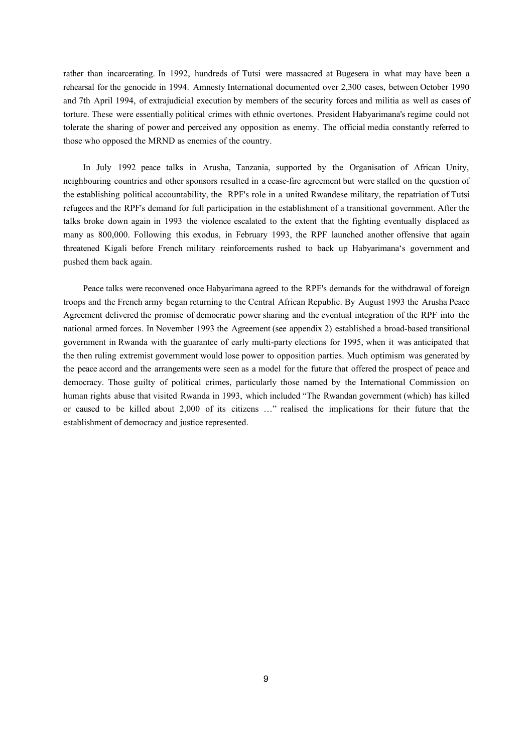rather than incarcerating. In 1992, hundreds of Tutsi were massacred at Bugesera in what may have been a rehearsal for the genocide in 1994. Amnesty International documented over 2,300 cases, between October 1990 and 7th April 1994, of extrajudicial execution by members of the security forces and militia as well as cases of torture. These were essentially political crimes with ethnic overtones. President Habyarimana's regime could not tolerate the sharing of power and perceived any opposition as enemy. The official media constantly referred to those who opposed the MRND as enemies of the country.

In July 1992 peace talks in Arusha, Tanzania, supported by the Organisation of African Unity, neighbouring countries and other sponsors resulted in a cease-fire agreement but were stalled on the question of the establishing political accountability, the RPF's role in a united Rwandese military, the repatriation of Tutsi refugees and the RPF's demand for full participation in the establishment of a transitional government. After the talks broke down again in 1993 the violence escalated to the extent that the fighting eventually displaced as many as 800,000. Following this exodus, in February 1993, the RPF launched another offensive that again threatened Kigali before French military reinforcements rushed to back up Habyarimana's government and pushed them back again.

Peace talks were reconvened once Habyarimana agreed to the RPF's demands for the withdrawal of foreign troops and the French army began returning to the Central African Republic. By August 1993 the Arusha Peace Agreement delivered the promise of democratic power sharing and the eventual integration of the RPF into the national armed forces. In November 1993 the Agreement (see appendix 2) established a broad-based transitional government in Rwanda with the guarantee of early multi-party elections for 1995, when it was anticipated that the then ruling extremist government would lose power to opposition parties. Much optimism was generated by the peace accord and the arrangements were seen as a model for the future that offered the prospect of peace and democracy. Those guilty of political crimes, particularly those named by the International Commission on human rights abuse that visited Rwanda in 1993, which included "The Rwandan government (which) has killed or caused to be killed about 2,000 of its citizens …" realised the implications for their future that the establishment of democracy and justice represented.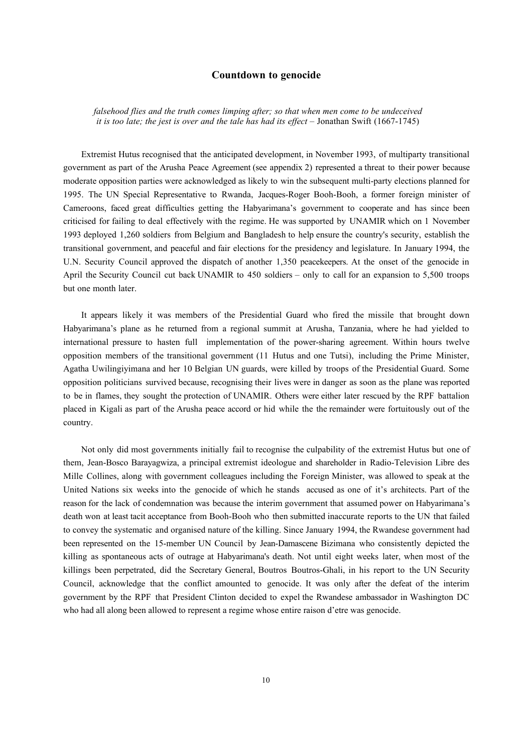### **Countdown to genocide**

*falsehood flies and the truth comes limping after; so that when men come to be undeceived it is too late; the jest is over and the tale has had its effect – Jonathan Swift (1667-1745)* 

Extremist Hutus recognised that the anticipated development, in November 1993, of multiparty transitional government as part of the Arusha Peace Agreement (see appendix 2) represented a threat to their power because moderate opposition parties were acknowledged as likely to win the subsequent multi-party elections planned for 1995. The UN Special Representative to Rwanda, Jacques-Roger Booh-Booh, a former foreign minister of Cameroons, faced great difficulties getting the Habyarimana's government to cooperate and has since been criticised for failing to deal effectively with the regime. He was supported by UNAMIR which on 1 November 1993 deployed 1,260 soldiers from Belgium and Bangladesh to help ensure the country's security, establish the transitional government, and peaceful and fair elections for the presidency and legislature. In January 1994, the U.N. Security Council approved the dispatch of another 1,350 peacekeepers. At the onset of the genocide in April the Security Council cut back UNAMIR to 450 soldiers – only to call for an expansion to 5,500 troops but one month later.

It appears likely it was members of the Presidential Guard who fired the missile that brought down Habyarimana's plane as he returned from a regional summit at Arusha, Tanzania, where he had yielded to international pressure to hasten full implementation of the power-sharing agreement. Within hours twelve opposition members of the transitional government (11 Hutus and one Tutsi), including the Prime Minister, Agatha Uwilingiyimana and her 10 Belgian UN guards, were killed by troops of the Presidential Guard. Some opposition politicians survived because, recognising their lives were in danger as soon as the plane was reported to be in flames, they sought the protection of UNAMIR. Others were either later rescued by the RPF battalion placed in Kigali as part of the Arusha peace accord or hid while the the remainder were fortuitously out of the country.

Not only did most governments initially fail to recognise the culpability of the extremist Hutus but one of them, Jean-Bosco Barayagwiza, a principal extremist ideologue and shareholder in Radio-Television Libre des Mille Collines, along with government colleagues including the Foreign Minister, was allowed to speak at the United Nations six weeks into the genocide of which he stands accused as one of it's architects. Part of the reason for the lack of condemnation was because the interim government that assumed power on Habyarimana's death won at least tacit acceptance from Booh-Booh who then submitted inaccurate reports to the UN that failed to convey the systematic and organised nature of the killing. Since January 1994, the Rwandese government had been represented on the 15-member UN Council by Jean-Damascene Bizimana who consistently depicted the killing as spontaneous acts of outrage at Habyarimana's death. Not until eight weeks later, when most of the killings been perpetrated, did the Secretary General, Boutros Boutros-Ghali, in his report to the UN Security Council, acknowledge that the conflict amounted to genocide. It was only after the defeat of the interim government by the RPF that President Clinton decided to expel the Rwandese ambassador in Washington DC who had all along been allowed to represent a regime whose entire raison d'etre was genocide.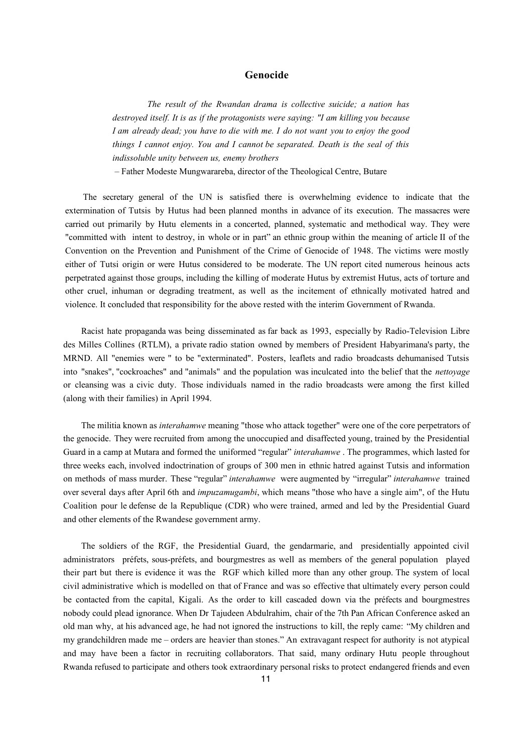### **Genocide**

*The result of the Rwandan drama is collective suicide; a nation has destroyed itself. It is as if the protagonists were saying: "I am killing you because I am already dead; you have to die with me. I do not want you to enjoy the good things I cannot enjoy. You and I cannot be separated. Death is the seal of this indissoluble unity between us, enemy brothers*

– Father Modeste Mungwarareba, director of the Theological Centre, Butare

The secretary general of the UN is satisfied there is overwhelming evidence to indicate that the extermination of Tutsis by Hutus had been planned months in advance of its execution. The massacres were carried out primarily by Hutu elements in a concerted, planned, systematic and methodical way. They were "committed with intent to destroy, in whole or in part" an ethnic group within the meaning of article II of the Convention on the Prevention and Punishment of the Crime of Genocide of 1948. The victims were mostly either of Tutsi origin or were Hutus considered to be moderate. The UN report cited numerous heinous acts perpetrated against those groups, including the killing of moderate Hutus by extremist Hutus, acts of torture and other cruel, inhuman or degrading treatment, as well as the incitement of ethnically motivated hatred and violence. It concluded that responsibility for the above rested with the interim Government of Rwanda.

Racist hate propaganda was being disseminated as far back as 1993, especially by Radio-Television Libre des Milles Collines (RTLM), a private radio station owned by members of President Habyarimana's party, the MRND. All "enemies were " to be "exterminated". Posters, leaflets and radio broadcasts dehumanised Tutsis into "snakes", "cockroaches" and "animals" and the population was inculcated into the belief that the *nettoyage* or cleansing was a civic duty. Those individuals named in the radio broadcasts were among the first killed (along with their families) in April 1994.

The militia known as *interahamwe* meaning "those who attack together" were one of the core perpetrators of the genocide. They were recruited from among the unoccupied and disaffected young, trained by the Presidential Guard in a camp at Mutara and formed the uniformed "regular" *interahamwe* . The programmes, which lasted for three weeks each, involved indoctrination of groups of 300 men in ethnic hatred against Tutsis and information on methods of mass murder. These "regular" *interahamwe* were augmented by "irregular" *interahamwe* trained over several days after April 6th and *impuzamugambi*, which means "those who have a single aim", of the Hutu Coalition pour le defense de la Republique (CDR) who were trained, armed and led by the Presidential Guard and other elements of the Rwandese government army.

The soldiers of the RGF, the Presidential Guard, the gendarmarie, and presidentially appointed civil administrators préfets, sous-préfets, and bourgmestres as well as members of the general population played their part but there is evidence it was the RGF which killed more than any other group. The system of local civil administrative which is modelled on that of France and was so effective that ultimately every person could be contacted from the capital, Kigali. As the order to kill cascaded down via the préfects and bourgmestres nobody could plead ignorance. When Dr Tajudeen Abdulrahim, chair of the 7th Pan African Conference asked an old man why, at his advanced age, he had not ignored the instructions to kill, the reply came: "My children and my grandchildren made me – orders are heavier than stones." An extravagant respect for authority is not atypical and may have been a factor in recruiting collaborators. That said, many ordinary Hutu people throughout Rwanda refused to participate and others took extraordinary personal risks to protect endangered friends and even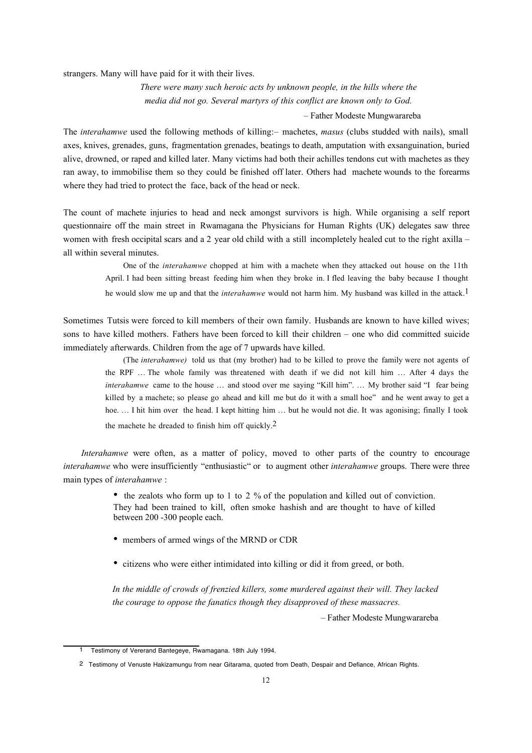strangers. Many will have paid for it with their lives.

*There were many such heroic acts by unknown people, in the hills where the media did not go. Several martyrs of this conflict are known only to God.*

### – Father Modeste Mungwarareba

The *interahamwe* used the following methods of killing:– machetes, *masus* (clubs studded with nails), small axes, knives, grenades, guns, fragmentation grenades, beatings to death, amputation with exsanguination, buried alive, drowned, or raped and killed later. Many victims had both their achilles tendons cut with machetes as they ran away, to immobilise them so they could be finished off later. Others had machete wounds to the forearms where they had tried to protect the face, back of the head or neck.

The count of machete injuries to head and neck amongst survivors is high. While organising a self report questionnaire off the main street in Rwamagana the Physicians for Human Rights (UK) delegates saw three women with fresh occipital scars and a 2 year old child with a still incompletely healed cut to the right axilla – all within several minutes.

> One of the *interahamwe* chopped at him with a machete when they attacked out house on the 11th April. I had been sitting breast feeding him when they broke in. I fled leaving the baby because I thought he would slow me up and that the *interahamwe* would not harm him. My husband was killed in the attack.1

Sometimes Tutsis were forced to kill members of their own family. Husbands are known to have killed wives; sons to have killed mothers. Fathers have been forced to kill their children – one who did committed suicide immediately afterwards. Children from the age of 7 upwards have killed.

> (The *interahamwe)* told us that (my brother) had to be killed to prove the family were not agents of the RPF … The whole family was threatened with death if we did not kill him … After 4 days the *interahamwe* came to the house … and stood over me saying "Kill him". … My brother said "I fear being killed by a machete; so please go ahead and kill me but do it with a small hoe" and he went away to get a hoe. … I hit him over the head. I kept hitting him … but he would not die. It was agonising; finally I took the machete he dreaded to finish him off quickly.2

*Interahamwe* were often, as a matter of policy, moved to other parts of the country to encourage *interahamwe* who were insufficiently "enthusiastic" or to augment other *interahamwe* groups. There were three main types of *interahamwe* :

> • the zealots who form up to 1 to 2 % of the population and killed out of conviction. They had been trained to kill, often smoke hashish and are thought to have of killed between 200 -300 people each.

- members of armed wings of the MRND or CDR
- citizens who were either intimidated into killing or did it from greed, or both.

*In the middle of crowds of frenzied killers, some murdered against their will. They lacked the courage to oppose the fanatics though they disapproved of these massacres.*

– Father Modeste Mungwarareba

<sup>1</sup> Testimony of Vererand Bantegeye, Rwamagana. 18th July 1994.

<sup>2</sup> Testimony of Venuste Hakizamungu from near Gitarama, quoted from Death, Despair and Defiance, African Rights.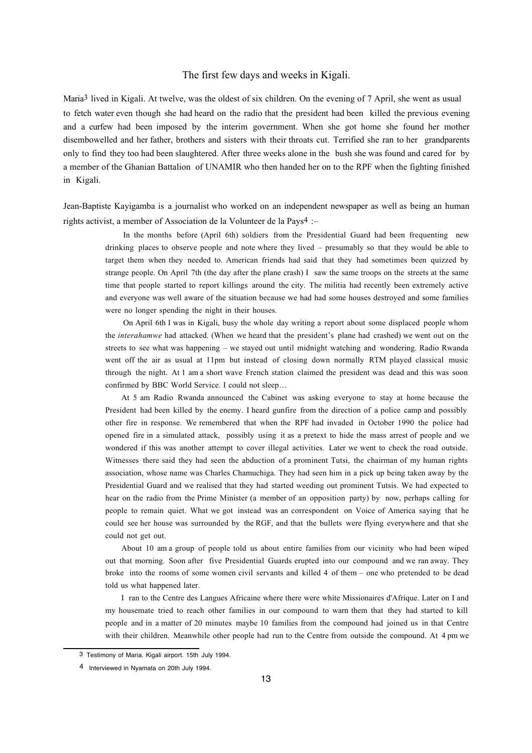### The first few days and weeks in Kigali.

Maria3 lived in Kigali. At twelve, was the oldest of six children. On the evening of 7 April, she went as usual to fetch water even though she had heard on the radio that the president had been killed the previous evening and a curfew had been imposed by the interim government. When she got home she found her mother disembowelled and her father, brothers and sisters with their throats cut. Terrified she ran to her grandparents only to find they too had been slaughtered. After three weeks alone in the bush she was found and cared for by a member of the Ghanian Battalion of UNAMIR who then handed her on to the RPF when the fighting finished in Kigali.

Jean-Baptiste Kayigamba is a journalist who worked on an independent newspaper as well as being an human rights activist, a member of Association de la Volunteer de la Pays4 :–

> In the months before (April 6th) soldiers from the Presidential Guard had been frequenting new drinking places to observe people and note where they lived – presumably so that they would be able to target them when they needed to. American friends had said that they had sometimes been quizzed by strange people. On April 7th (the day after the plane crash) I saw the same troops on the streets at the same time that people started to report killings around the city. The militia had recently been extremely active and everyone was well aware of the situation because we had had some houses destroyed and some families were no longer spending the night in their houses.

> On April 6th I was in Kigali, busy the whole day writing a report about some displaced people whom the *interahamwe* had attacked. (When we heard that the president's plane had crashed) we went out on the streets to see what was happening – we stayed out until midnight watching and wondering. Radio Rwanda went off the air as usual at 11pm but instead of closing down normally RTM played classical music through the night. At 1 am a short wave French station claimed the president was dead and this was soon confirmed by BBC World Service. I could not sleep…

> At 5 am Radio Rwanda announced the Cabinet was asking everyone to stay at home because the President had been killed by the enemy. I heard gunfire from the direction of a police camp and possibly other fire in response. We remembered that when the RPF had invaded in October 1990 the police had opened fire in a simulated attack, possibly using it as a pretext to hide the mass arrest of people and we wondered if this was another attempt to cover illegal activities. Later we went to check the road outside. Witnesses there said they had seen the abduction of a prominent Tutsi, the chairman of my human rights association, whose name was Charles Chamuchiga. They had seen him in a pick up being taken away by the Presidential Guard and we realised that they had started weeding out prominent Tutsis. We had expected to hear on the radio from the Prime Minister (a member of an opposition party) by now, perhaps calling for people to remain quiet. What we got instead was an correspondent on Voice of America saying that he could see her house was surrounded by the RGF, and that the bullets were flying everywhere and that she could not get out.

> About 10 am a group of people told us about entire families from our vicinity who had been wiped out that morning. Soon after five Presidential Guards erupted into our compound and we ran away. They broke into the rooms of some women civil servants and killed 4 of them – one who pretended to be dead told us what happened later.

> I ran to the Centre des Langues Africaine where there were white Missionaires d'Afrique. Later on I and my housemate tried to reach other families in our compound to warn them that they had started to kill people and in a matter of 20 minutes maybe 10 families from the compound had joined us in that Centre with their children. Meanwhile other people had run to the Centre from outside the compound. At 4 pm we

<sup>3</sup> Testimony of Maria. Kigali airport. 15th July 1994.

<sup>4</sup> Interviewed in Nyamata on 20th July 1994.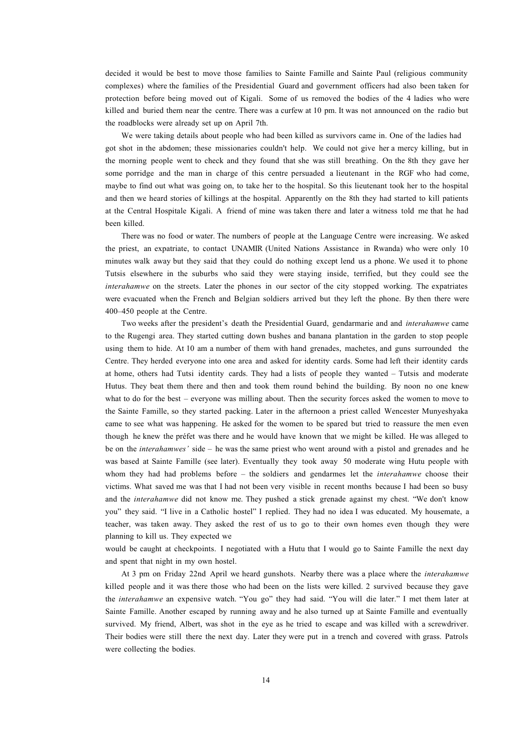decided it would be best to move those families to Sainte Famille and Sainte Paul (religious community complexes) where the families of the Presidential Guard and government officers had also been taken for protection before being moved out of Kigali. Some of us removed the bodies of the 4 ladies who were killed and buried them near the centre. There was a curfew at 10 pm. It was not announced on the radio but the roadblocks were already set up on April 7th.

We were taking details about people who had been killed as survivors came in. One of the ladies had got shot in the abdomen; these missionaries couldn't help. We could not give her a mercy killing, but in the morning people went to check and they found that she was still breathing. On the 8th they gave her some porridge and the man in charge of this centre persuaded a lieutenant in the RGF who had come, maybe to find out what was going on, to take her to the hospital. So this lieutenant took her to the hospital and then we heard stories of killings at the hospital. Apparently on the 8th they had started to kill patients at the Central Hospitale Kigali. A friend of mine was taken there and later a witness told me that he had been killed.

There was no food or water. The numbers of people at the Language Centre were increasing. We asked the priest, an expatriate, to contact UNAMIR (United Nations Assistance in Rwanda) who were only 10 minutes walk away but they said that they could do nothing except lend us a phone. We used it to phone Tutsis elsewhere in the suburbs who said they were staying inside, terrified, but they could see the *interahamwe* on the streets. Later the phones in our sector of the city stopped working. The expatriates were evacuated when the French and Belgian soldiers arrived but they left the phone. By then there were 400–450 people at the Centre.

Two weeks after the president's death the Presidential Guard, gendarmarie and and *interahamwe* came to the Rugengi area. They started cutting down bushes and banana plantation in the garden to stop people using them to hide. At 10 am a number of them with hand grenades, machetes, and guns surrounded the Centre. They herded everyone into one area and asked for identity cards. Some had left their identity cards at home, others had Tutsi identity cards. They had a lists of people they wanted – Tutsis and moderate Hutus. They beat them there and then and took them round behind the building. By noon no one knew what to do for the best – everyone was milling about. Then the security forces asked the women to move to the Sainte Famille, so they started packing. Later in the afternoon a priest called Wencester Munyeshyaka came to see what was happening. He asked for the women to be spared but tried to reassure the men even though he knew the préfet was there and he would have known that we might be killed. He was alleged to be on the *interahamwes'* side – he was the same priest who went around with a pistol and grenades and he was based at Sainte Famille (see later). Eventually they took away 50 moderate wing Hutu people with whom they had had problems before – the soldiers and gendarmes let the *interahamwe* choose their victims. What saved me was that I had not been very visible in recent months because I had been so busy and the *interahamwe* did not know me. They pushed a stick grenade against my chest. "We don't know you" they said. "I live in a Catholic hostel" I replied. They had no idea I was educated. My housemate, a teacher, was taken away. They asked the rest of us to go to their own homes even though they were planning to kill us. They expected we

would be caught at checkpoints. I negotiated with a Hutu that I would go to Sainte Famille the next day and spent that night in my own hostel.

At 3 pm on Friday 22nd April we heard gunshots. Nearby there was a place where the *interahamwe* killed people and it was there those who had been on the lists were killed. 2 survived because they gave the *interahamwe* an expensive watch. "You go" they had said. "You will die later." I met them later at Sainte Famille. Another escaped by running away and he also turned up at Sainte Famille and eventually survived. My friend, Albert, was shot in the eye as he tried to escape and was killed with a screwdriver. Their bodies were still there the next day. Later they were put in a trench and covered with grass. Patrols were collecting the bodies.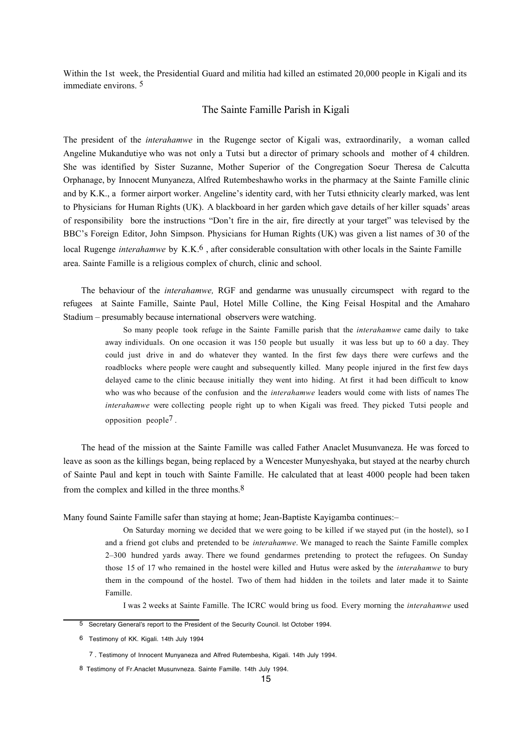Within the 1st week, the Presidential Guard and militia had killed an estimated 20,000 people in Kigali and its immediate environs. 5

### The Sainte Famille Parish in Kigali

The president of the *interahamwe* in the Rugenge sector of Kigali was, extraordinarily, a woman called Angeline Mukandutiye who was not only a Tutsi but a director of primary schools and mother of 4 children. She was identified by Sister Suzanne, Mother Superior of the Congregation Soeur Theresa de Calcutta Orphanage, by Innocent Munyaneza, Alfred Rutembeshawho works in the pharmacy at the Sainte Famille clinic and by K.K., a former airport worker. Angeline's identity card, with her Tutsi ethnicity clearly marked, was lent to Physicians for Human Rights (UK). A blackboard in her garden which gave details of her killer squads' areas of responsibility bore the instructions "Don't fire in the air, fire directly at your target" was televised by the BBC's Foreign Editor, John Simpson. Physicians for Human Rights (UK) was given a list names of 30 of the local Rugenge *interahamwe* by K.K.<sup>6</sup>, after considerable consultation with other locals in the Sainte Famille area. Sainte Famille is a religious complex of church, clinic and school.

The behaviour of the *interahamwe,* RGF and gendarme was unusually circumspect with regard to the refugees at Sainte Famille, Sainte Paul, Hotel Mille Colline, the King Feisal Hospital and the Amaharo Stadium – presumably because international observers were watching.

> So many people took refuge in the Sainte Famille parish that the *interahamwe* came daily to take away individuals. On one occasion it was 150 people but usually it was less but up to 60 a day. They could just drive in and do whatever they wanted. In the first few days there were curfews and the roadblocks where people were caught and subsequently killed. Many people injured in the first few days delayed came to the clinic because initially they went into hiding. At first it had been difficult to know who was who because of the confusion and the *interahamwe* leaders would come with lists of names The *interahamwe* were collecting people right up to when Kigali was freed. They picked Tutsi people and opposition people7 .

The head of the mission at the Sainte Famille was called Father Anaclet Musunvaneza. He was forced to leave as soon as the killings began, being replaced by a Wencester Munyeshyaka, but stayed at the nearby church of Sainte Paul and kept in touch with Sainte Famille. He calculated that at least 4000 people had been taken from the complex and killed in the three months.8

Many found Sainte Famille safer than staying at home; Jean-Baptiste Kayigamba continues:–

On Saturday morning we decided that we were going to be killed if we stayed put (in the hostel), so I and a friend got clubs and pretended to be *interahamwe*. We managed to reach the Sainte Famille complex 2–300 hundred yards away. There we found gendarmes pretending to protect the refugees. On Sunday those 15 of 17 who remained in the hostel were killed and Hutus were asked by the *interahamwe* to bury them in the compound of the hostel. Two of them had hidden in the toilets and later made it to Sainte Famille.

I was 2 weeks at Sainte Famille. The ICRC would bring us food. Every morning the *interahamwe* used

<sup>5</sup> Secretary General's report to the President of the Security Council. Ist October 1994.

<sup>6</sup> Testimony of KK. Kigali. 14th July 1994

<sup>7</sup> . Testimony of Innocent Munyaneza and Alfred Rutembesha, Kigali. 14th July 1994.

<sup>8</sup> Testimony of Fr.Anaclet Musunvneza. Sainte Famille. 14th July 1994.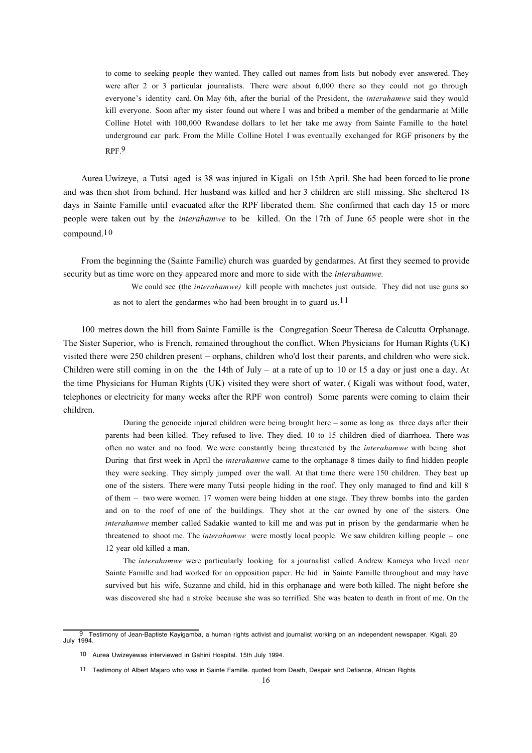to come to seeking people they wanted. They called out names from lists but nobody ever answered. They were after 2 or 3 particular journalists. There were about 6,000 there so they could not go through everyone's identity card. On May 6th, after the burial of the President, the *interahamwe* said they would kill everyone. Soon after my sister found out where I was and bribed a member of the gendarmarie at Mille Colline Hotel with 100,000 Rwandese dollars to let her take me away from Sainte Famille to the hotel underground car park. From the Mille Colline Hotel I was eventually exchanged for RGF prisoners by the RPF.9

Aurea Uwizeye, a Tutsi aged is 38 was injured in Kigali on 15th April. She had been forced to lie prone and was then shot from behind. Her husband was killed and her 3 children are still missing. She sheltered 18 days in Sainte Famille until evacuated after the RPF liberated them. She confirmed that each day 15 or more people were taken out by the *interahamwe* to be killed. On the 17th of June 65 people were shot in the compound.10

From the beginning the (Sainte Famille) church was guarded by gendarmes. At first they seemed to provide security but as time wore on they appeared more and more to side with the *interahamwe.* 

> We could see (the *interahamwe)* kill people with machetes just outside. They did not use guns so as not to alert the gendarmes who had been brought in to guard us.11

100 metres down the hill from Sainte Famille is the Congregation Soeur Theresa de Calcutta Orphanage. The Sister Superior, who is French, remained throughout the conflict. When Physicians for Human Rights (UK) visited there were 250 children present – orphans, children who'd lost their parents, and children who were sick. Children were still coming in on the the 14th of July – at a rate of up to 10 or 15 a day or just one a day. At the time Physicians for Human Rights (UK) visited they were short of water. ( Kigali was without food, water, telephones or electricity for many weeks after the RPF won control) Some parents were coming to claim their children.

> During the genocide injured children were being brought here – some as long as three days after their parents had been killed. They refused to live. They died. 10 to 15 children died of diarrhoea. There was often no water and no food. We were constantly being threatened by the *interahamwe* with being shot. During that first week in April the *interahamwe* came to the orphanage 8 times daily to find hidden people they were seeking. They simply jumped over the wall. At that time there were 150 children. They beat up one of the sisters. There were many Tutsi people hiding in the roof. They only managed to find and kill 8 of them – two were women. 17 women were being hidden at one stage. They threw bombs into the garden and on to the roof of one of the buildings. They shot at the car owned by one of the sisters. One *interahamwe* member called Sadakie wanted to kill me and was put in prison by the gendarmarie when he threatened to shoot me. The *interahamwe* were mostly local people. We saw children killing people – one 12 year old killed a man.

> The *interahamwe* were particularly looking for a journalist called Andrew Kameya who lived near Sainte Famille and had worked for an opposition paper. He hid in Sainte Famille throughout and may have survived but his wife, Suzanne and child, hid in this orphanage and were both killed. The night before she was discovered she had a stroke because she was so terrified. She was beaten to death in front of me. On the

<sup>9</sup> Testimony of Jean-Baptiste Kayigamba, a human rights activist and journalist working on an independent newspaper. Kigali. 20 July 1994.

<sup>10</sup> Aurea Uwizeyewas interviewed in Gahini Hospital. 15th July 1994.

<sup>11</sup> Testimony of Albert Majaro who was in Sainte Famille. quoted from Death, Despair and Defiance, African Rights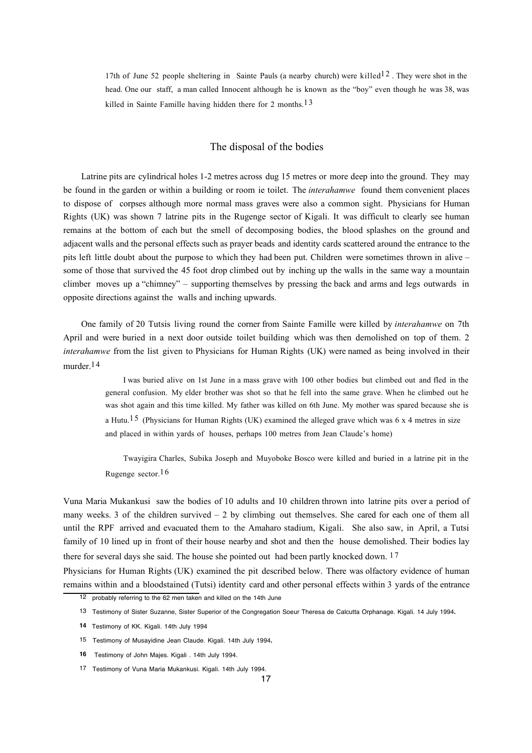17th of June 52 people sheltering in Sainte Pauls (a nearby church) were killed<sup>12</sup>. They were shot in the head. One our staff, a man called Innocent although he is known as the "boy" even though he was 38, was killed in Sainte Famille having hidden there for 2 months.<sup>13</sup>

### The disposal of the bodies

Latrine pits are cylindrical holes 1-2 metres across dug 15 metres or more deep into the ground. They may be found in the garden or within a building or room ie toilet. The *interahamwe* found them convenient places to dispose of corpses although more normal mass graves were also a common sight. Physicians for Human Rights (UK) was shown 7 latrine pits in the Rugenge sector of Kigali. It was difficult to clearly see human remains at the bottom of each but the smell of decomposing bodies, the blood splashes on the ground and adjacent walls and the personal effects such as prayer beads and identity cards scattered around the entrance to the pits left little doubt about the purpose to which they had been put. Children were sometimes thrown in alive – some of those that survived the 45 foot drop climbed out by inching up the walls in the same way a mountain climber moves up a "chimney" – supporting themselves by pressing the back and arms and legs outwards in opposite directions against the walls and inching upwards.

One family of 20 Tutsis living round the corner from Sainte Famille were killed by *interahamwe* on 7th April and were buried in a next door outside toilet building which was then demolished on top of them. 2 *interahamwe* from the list given to Physicians for Human Rights (UK) were named as being involved in their murder.14

> I was buried alive on 1st June in a mass grave with 100 other bodies but climbed out and fled in the general confusion. My elder brother was shot so that he fell into the same grave. When he climbed out he was shot again and this time killed. My father was killed on 6th June. My mother was spared because she is a Hutu.<sup>15</sup> (Physicians for Human Rights (UK) examined the alleged grave which was 6 x 4 metres in size and placed in within yards of houses, perhaps 100 metres from Jean Claude's home)

> Twayigira Charles, Subika Joseph and Muyoboke Bosco were killed and buried in a latrine pit in the Rugenge sector.16

Vuna Maria Mukankusi saw the bodies of 10 adults and 10 children thrown into latrine pits over a period of many weeks. 3 of the children survived  $-2$  by climbing out themselves. She cared for each one of them all until the RPF arrived and evacuated them to the Amaharo stadium, Kigali. She also saw, in April, a Tutsi family of 10 lined up in front of their house nearby and shot and then the house demolished. Their bodies lay there for several days she said. The house she pointed out had been partly knocked down. 17

Physicians for Human Rights (UK) examined the pit described below. There was olfactory evidence of human remains within and a bloodstained (Tutsi) identity card and other personal effects within 3 yards of the entrance

<sup>12</sup> probably referring to the 62 men taken and killed on the 14th June

<sup>13</sup> Testimony of Sister Suzanne, Sister Superior of the Congregation Soeur Theresa de Calcutta Orphanage. Kigali. 14 July 1994**.**

**<sup>14</sup>** Testimony of KK. Kigali. 14th July 1994

<sup>15</sup> Testimony of Musayidine Jean Claude. Kigali. 14th July 1994**.**

**<sup>16</sup>** Testimony of John Majes. Kigali . 14th July 1994.

<sup>17</sup> Testimony of Vuna Maria Mukankusi. Kigali. 14th July 1994.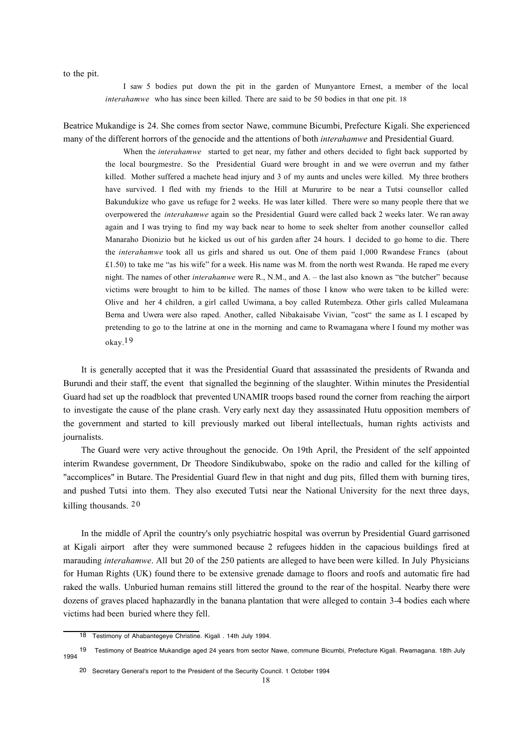to the pit.

I saw 5 bodies put down the pit in the garden of Munyantore Ernest, a member of the local *interahamwe* who has since been killed. There are said to be 50 bodies in that one pit. 18

Beatrice Mukandige is 24. She comes from sector Nawe, commune Bicumbi, Prefecture Kigali. She experienced many of the different horrors of the genocide and the attentions of both *interahamwe* and Presidential Guard.

> When the *interahamwe* started to get near, my father and others decided to fight back supported by the local bourgmestre. So the Presidential Guard were brought in and we were overrun and my father killed. Mother suffered a machete head injury and 3 of my aunts and uncles were killed. My three brothers have survived. I fled with my friends to the Hill at Mururire to be near a Tutsi counsellor called Bakundukize who gave us refuge for 2 weeks. He was later killed. There were so many people there that we overpowered the *interahamwe* again so the Presidential Guard were called back 2 weeks later. We ran away again and I was trying to find my way back near to home to seek shelter from another counsellor called Manaraho Dionizio but he kicked us out of his garden after 24 hours. I decided to go home to die. There the *interahamwe* took all us girls and shared us out. One of them paid 1,000 Rwandese Francs (about £1.50) to take me "as his wife" for a week. His name was M. from the north west Rwanda. He raped me every night. The names of other *interahamwe* were R., N.M., and A. – the last also known as "the butcher" because victims were brought to him to be killed. The names of those I know who were taken to be killed were: Olive and her 4 children, a girl called Uwimana, a boy called Rutembeza. Other girls called Muleamana Berna and Uwera were also raped. Another, called Nibakaisabe Vivian, "cost" the same as I. I escaped by pretending to go to the latrine at one in the morning and came to Rwamagana where I found my mother was okay.19

It is generally accepted that it was the Presidential Guard that assassinated the presidents of Rwanda and Burundi and their staff, the event that signalled the beginning of the slaughter. Within minutes the Presidential Guard had set up the roadblock that prevented UNAMIR troops based round the corner from reaching the airport to investigate the cause of the plane crash. Very early next day they assassinated Hutu opposition members of the government and started to kill previously marked out liberal intellectuals, human rights activists and journalists.

The Guard were very active throughout the genocide. On 19th April, the President of the self appointed interim Rwandese government, Dr Theodore Sindikubwabo, spoke on the radio and called for the killing of "accomplices" in Butare. The Presidential Guard flew in that night and dug pits, filled them with burning tires, and pushed Tutsi into them. They also executed Tutsi near the National University for the next three days, killing thousands. 20

In the middle of April the country's only psychiatric hospital was overrun by Presidential Guard garrisoned at Kigali airport after they were summoned because 2 refugees hidden in the capacious buildings fired at marauding *interahamwe*. All but 20 of the 250 patients are alleged to have been were killed. In July Physicians for Human Rights (UK) found there to be extensive grenade damage to floors and roofs and automatic fire had raked the walls. Unburied human remains still littered the ground to the rear of the hospital. Nearby there were dozens of graves placed haphazardly in the banana plantation that were alleged to contain 3-4 bodies each where victims had been buried where they fell.

<sup>18</sup> Testimony of Ahabantegeye Christine. Kigali . 14th July 1994.

<sup>19</sup> Testimony of Beatrice Mukandige aged 24 years from sector Nawe, commune Bicumbi, Prefecture Kigali. Rwamagana. 18th July 1994

<sup>20</sup> Secretary General's report to the President of the Security Council. 1 October 1994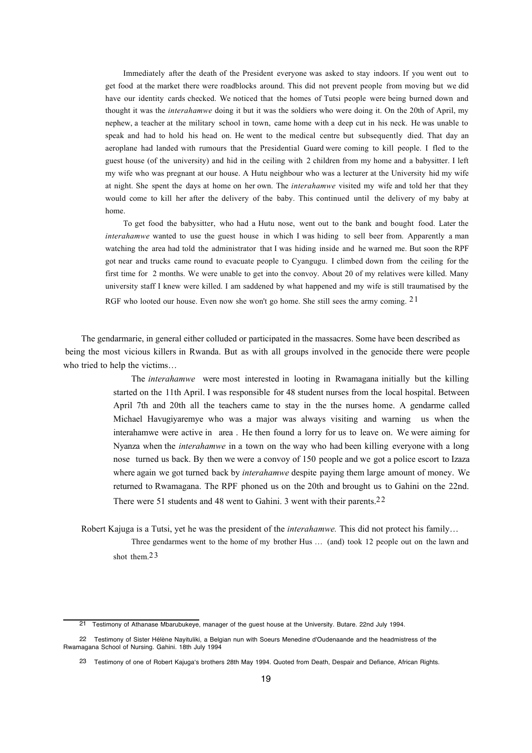Immediately after the death of the President everyone was asked to stay indoors. If you went out to get food at the market there were roadblocks around. This did not prevent people from moving but we did have our identity cards checked. We noticed that the homes of Tutsi people were being burned down and thought it was the *interahamwe* doing it but it was the soldiers who were doing it. On the 20th of April, my nephew, a teacher at the military school in town, came home with a deep cut in his neck. He was unable to speak and had to hold his head on. He went to the medical centre but subsequently died. That day an aeroplane had landed with rumours that the Presidential Guard were coming to kill people. I fled to the guest house (of the university) and hid in the ceiling with 2 children from my home and a babysitter. I left my wife who was pregnant at our house. A Hutu neighbour who was a lecturer at the University hid my wife at night. She spent the days at home on her own. The *interahamwe* visited my wife and told her that they would come to kill her after the delivery of the baby. This continued until the delivery of my baby at home.

To get food the babysitter, who had a Hutu nose, went out to the bank and bought food. Later the *interahamwe* wanted to use the guest house in which I was hiding to sell beer from. Apparently a man watching the area had told the administrator that I was hiding inside and he warned me. But soon the RPF got near and trucks came round to evacuate people to Cyangugu. I climbed down from the ceiling for the first time for 2 months. We were unable to get into the convoy. About 20 of my relatives were killed. Many university staff I knew were killed. I am saddened by what happened and my wife is still traumatised by the RGF who looted our house. Even now she won't go home. She still sees the army coming.  $2<sup>1</sup>$ 

The gendarmarie, in general either colluded or participated in the massacres. Some have been described as being the most vicious killers in Rwanda. But as with all groups involved in the genocide there were people who tried to help the victims…

> The *interahamwe* were most interested in looting in Rwamagana initially but the killing started on the 11th April. I was responsible for 48 student nurses from the local hospital. Between April 7th and 20th all the teachers came to stay in the the nurses home. A gendarme called Michael Havugiyaremye who was a major was always visiting and warning us when the interahamwe were active in area . He then found a lorry for us to leave on. We were aiming for Nyanza when the *interahamwe* in a town on the way who had been killing everyone with a long nose turned us back. By then we were a convoy of 150 people and we got a police escort to Izaza where again we got turned back by *interahamwe* despite paying them large amount of money. We returned to Rwamagana. The RPF phoned us on the 20th and brought us to Gahini on the 22nd. There were 51 students and 48 went to Gahini. 3 went with their parents.22

Robert Kajuga is a Tutsi, yet he was the president of the *interahamwe.* This did not protect his family…

Three gendarmes went to the home of my brother Hus … (and) took 12 people out on the lawn and shot them.23

<sup>21</sup> Testimony of Athanase Mbarubukeye, manager of the guest house at the University. Butare. 22nd July 1994.

<sup>22</sup> Testimony of Sister Hélène Nayituliki, a Belgian nun with Soeurs Menedine d'Oudenaande and the headmistress of the Rwamagana School of Nursing. Gahini. 18th July 1994

<sup>23</sup> Testimony of one of Robert Kajuga's brothers 28th May 1994. Quoted from Death, Despair and Defiance, African Rights.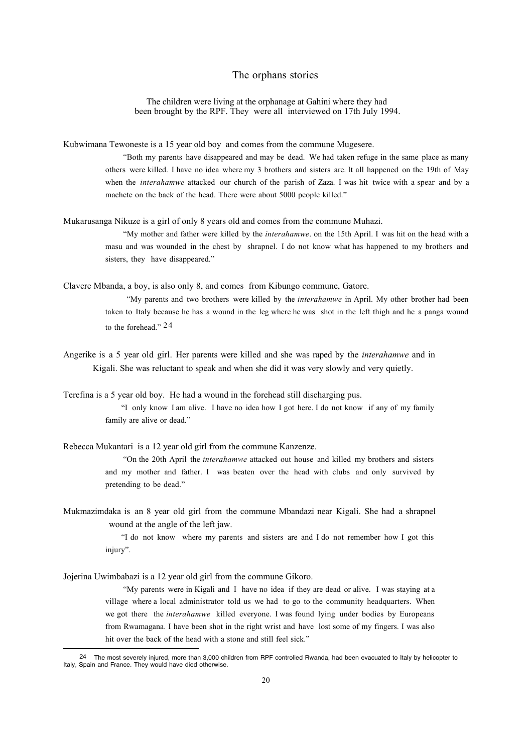### The orphans stories

The children were living at the orphanage at Gahini where they had been brought by the RPF. They were all interviewed on 17th July 1994.

Kubwimana Tewoneste is a 15 year old boy and comes from the commune Mugesere.

"Both my parents have disappeared and may be dead. We had taken refuge in the same place as many others were killed. I have no idea where my 3 brothers and sisters are. It all happened on the 19th of May when the *interahamwe* attacked our church of the parish of Zaza. I was hit twice with a spear and by a machete on the back of the head. There were about 5000 people killed."

Mukarusanga Nikuze is a girl of only 8 years old and comes from the commune Muhazi.

"My mother and father were killed by the *interahamwe*. on the 15th April. I was hit on the head with a masu and was wounded in the chest by shrapnel. I do not know what has happened to my brothers and sisters, they have disappeared."

Clavere Mbanda, a boy, is also only 8, and comes from Kibungo commune, Gatore.

"My parents and two brothers were killed by the *interahamwe* in April. My other brother had been taken to Italy because he has a wound in the leg where he was shot in the left thigh and he a panga wound to the forehead." 24

Angerike is a 5 year old girl. Her parents were killed and she was raped by the *interahamwe* and in Kigali. She was reluctant to speak and when she did it was very slowly and very quietly.

Terefina is a 5 year old boy. He had a wound in the forehead still discharging pus. "I only know I am alive. I have no idea how I got here. I do not know if any of my family family are alive or dead."

Rebecca Mukantari is a 12 year old girl from the commune Kanzenze.

"On the 20th April the *interahamwe* attacked out house and killed my brothers and sisters and my mother and father. I was beaten over the head with clubs and only survived by pretending to be dead."

Mukmazimdaka is an 8 year old girl from the commune Mbandazi near Kigali. She had a shrapnel wound at the angle of the left jaw.

> "I do not know where my parents and sisters are and I do not remember how I got this injury".

Jojerina Uwimbabazi is a 12 year old girl from the commune Gikoro.

"My parents were in Kigali and I have no idea if they are dead or alive. I was staying at a village where a local administrator told us we had to go to the community headquarters. When we got there the *interahamwe* killed everyone. I was found lying under bodies by Europeans from Rwamagana. I have been shot in the right wrist and have lost some of my fingers. I was also hit over the back of the head with a stone and still feel sick."

<sup>24</sup> The most severely injured, more than 3,000 children from RPF controlled Rwanda, had been evacuated to Italy by helicopter to Italy, Spain and France. They would have died otherwise.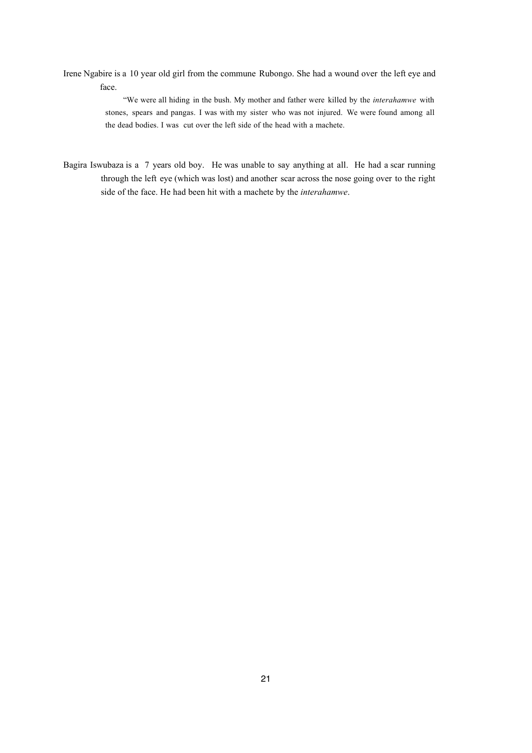Irene Ngabire is a 10 year old girl from the commune Rubongo. She had a wound over the left eye and face.

> "We were all hiding in the bush. My mother and father were killed by the *interahamwe* with stones, spears and pangas. I was with my sister who was not injured. We were found among all the dead bodies. I was cut over the left side of the head with a machete.

Bagira Iswubaza is a 7 years old boy. He was unable to say anything at all. He had a scar running through the left eye (which was lost) and another scar across the nose going over to the right side of the face. He had been hit with a machete by the *interahamwe*.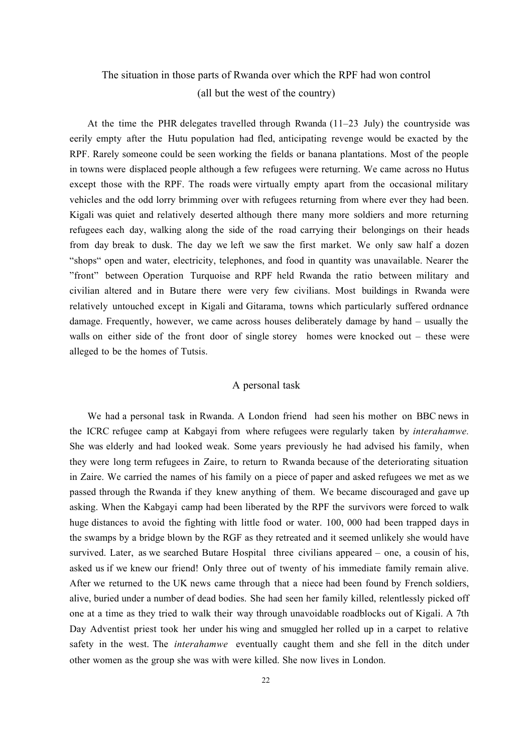## The situation in those parts of Rwanda over which the RPF had won control (all but the west of the country)

At the time the PHR delegates travelled through Rwanda (11–23 July) the countryside was eerily empty after the Hutu population had fled, anticipating revenge would be exacted by the RPF. Rarely someone could be seen working the fields or banana plantations. Most of the people in towns were displaced people although a few refugees were returning. We came across no Hutus except those with the RPF. The roads were virtually empty apart from the occasional military vehicles and the odd lorry brimming over with refugees returning from where ever they had been. Kigali was quiet and relatively deserted although there many more soldiers and more returning refugees each day, walking along the side of the road carrying their belongings on their heads from day break to dusk. The day we left we saw the first market. We only saw half a dozen "shops" open and water, electricity, telephones, and food in quantity was unavailable. Nearer the "front" between Operation Turquoise and RPF held Rwanda the ratio between military and civilian altered and in Butare there were very few civilians. Most buildings in Rwanda were relatively untouched except in Kigali and Gitarama, towns which particularly suffered ordnance damage. Frequently, however, we came across houses deliberately damage by hand – usually the walls on either side of the front door of single storey homes were knocked out – these were alleged to be the homes of Tutsis.

### A personal task

We had a personal task in Rwanda. A London friend had seen his mother on BBC news in the ICRC refugee camp at Kabgayi from where refugees were regularly taken by *interahamwe.* She was elderly and had looked weak. Some years previously he had advised his family, when they were long term refugees in Zaire, to return to Rwanda because of the deteriorating situation in Zaire. We carried the names of his family on a piece of paper and asked refugees we met as we passed through the Rwanda if they knew anything of them. We became discouraged and gave up asking. When the Kabgayi camp had been liberated by the RPF the survivors were forced to walk huge distances to avoid the fighting with little food or water. 100, 000 had been trapped days in the swamps by a bridge blown by the RGF as they retreated and it seemed unlikely she would have survived. Later, as we searched Butare Hospital three civilians appeared – one, a cousin of his, asked us if we knew our friend! Only three out of twenty of his immediate family remain alive. After we returned to the UK news came through that a niece had been found by French soldiers, alive, buried under a number of dead bodies. She had seen her family killed, relentlessly picked off one at a time as they tried to walk their way through unavoidable roadblocks out of Kigali. A 7th Day Adventist priest took her under his wing and smuggled her rolled up in a carpet to relative safety in the west. The *interahamwe* eventually caught them and she fell in the ditch under other women as the group she was with were killed. She now lives in London.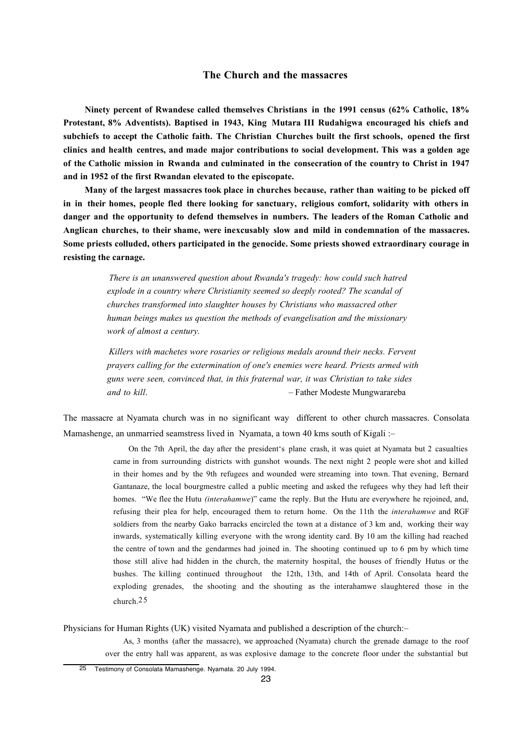### **The Church and the massacres**

**Ninety percent of Rwandese called themselves Christians in the 1991 census (62% Catholic, 18% Protestant, 8% Adventists). Baptised in 1943, King Mutara III Rudahigwa encouraged his chiefs and subchiefs to accept the Catholic faith. The Christian Churches built the first schools, opened the first clinics and health centres, and made major contributions to social development. This was a golden age of the Catholic mission in Rwanda and culminated in the consecration of the country to Christ in 1947 and in 1952 of the first Rwandan elevated to the episcopate.**

**Many of the largest massacres took place in churches because, rather than waiting to be picked off in in their homes, people fled there looking for sanctuary, religious comfort, solidarity with others in danger and the opportunity to defend themselves in numbers. The leaders of the Roman Catholic and Anglican churches, to their shame, were inexcusably slow and mild in condemnation of the massacres. Some priests colluded, others participated in the genocide. Some priests showed extraordinary courage in resisting the carnage.** 

> *There is an unanswered question about Rwanda's tragedy: how could such hatred explode in a country where Christianity seemed so deeply rooted? The scandal of churches transformed into slaughter houses by Christians who massacred other human beings makes us question the methods of evangelisation and the missionary work of almost a century.*

*Killers with machetes wore rosaries or religious medals around their necks. Fervent prayers calling for the extermination of one's enemies were heard. Priests armed with guns were seen, convinced that, in this fraternal war, it was Christian to take sides and to kill*. – Father Modeste Mungwarareba

The massacre at Nyamata church was in no significant way different to other church massacres. Consolata Mamashenge, an unmarried seamstress lived in Nyamata, a town 40 kms south of Kigali :–

> On the 7th April, the day after the president's plane crash, it was quiet at Nyamata but 2 casualties came in from surrounding districts with gunshot wounds. The next night 2 people were shot and killed in their homes and by the 9th refugees and wounded were streaming into town. That evening, Bernard Gantanaze, the local bourgmestre called a public meeting and asked the refugees why they had left their homes. "We flee the Hutu *(interahamwe)*" came the reply. But the Hutu are everywhere he rejoined, and, refusing their plea for help, encouraged them to return home. On the 11th the *interahamwe* and RGF soldiers from the nearby Gako barracks encircled the town at a distance of 3 km and, working their way inwards, systematically killing everyone with the wrong identity card. By 10 am the killing had reached the centre of town and the gendarmes had joined in. The shooting continued up to 6 pm by which time those still alive had hidden in the church, the maternity hospital, the houses of friendly Hutus or the bushes. The killing continued throughout the 12th, 13th, and 14th of April. Consolata heard the exploding grenades, the shooting and the shouting as the interahamwe slaughtered those in the church.25

Physicians for Human Rights (UK) visited Nyamata and published a description of the church:–

As, 3 months (after the massacre), we approached (Nyamata) church the grenade damage to the roof over the entry hall was apparent, as was explosive damage to the concrete floor under the substantial but

<sup>25</sup> Testimony of Consolata Mamashenge. Nyamata. 20 July 1994.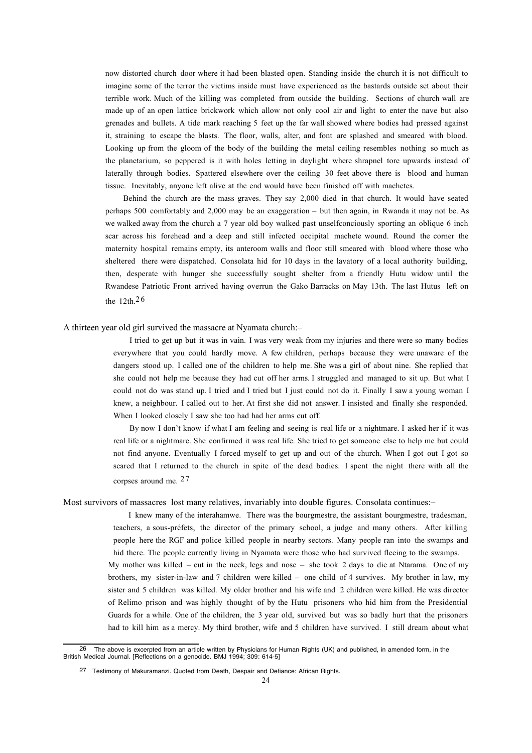now distorted church door where it had been blasted open. Standing inside the church it is not difficult to imagine some of the terror the victims inside must have experienced as the bastards outside set about their terrible work. Much of the killing was completed from outside the building. Sections of church wall are made up of an open lattice brickwork which allow not only cool air and light to enter the nave but also grenades and bullets. A tide mark reaching 5 feet up the far wall showed where bodies had pressed against it, straining to escape the blasts. The floor, walls, alter, and font are splashed and smeared with blood. Looking up from the gloom of the body of the building the metal ceiling resembles nothing so much as the planetarium, so peppered is it with holes letting in daylight where shrapnel tore upwards instead of laterally through bodies. Spattered elsewhere over the ceiling 30 feet above there is blood and human tissue. Inevitably, anyone left alive at the end would have been finished off with machetes.

Behind the church are the mass graves. They say 2,000 died in that church. It would have seated perhaps 500 comfortably and 2,000 may be an exaggeration – but then again, in Rwanda it may not be. As we walked away from the church a 7 year old boy walked past unselfconciously sporting an oblique 6 inch scar across his forehead and a deep and still infected occipital machete wound. Round the corner the maternity hospital remains empty, its anteroom walls and floor still smeared with blood where those who sheltered there were dispatched. Consolata hid for 10 days in the lavatory of a local authority building, then, desperate with hunger she successfully sought shelter from a friendly Hutu widow until the Rwandese Patriotic Front arrived having overrun the Gako Barracks on May 13th. The last Hutus left on the 12th.26

A thirteen year old girl survived the massacre at Nyamata church:–

I tried to get up but it was in vain. I was very weak from my injuries and there were so many bodies everywhere that you could hardly move. A few children, perhaps because they were unaware of the dangers stood up. I called one of the children to help me. She was a girl of about nine. She replied that she could not help me because they had cut off her arms. I struggled and managed to sit up. But what I could not do was stand up. I tried and I tried but I just could not do it. Finally I saw a young woman I knew, a neighbour. I called out to her. At first she did not answer. I insisted and finally she responded. When I looked closely I saw she too had had her arms cut off.

By now I don't know if what I am feeling and seeing is real life or a nightmare. I asked her if it was real life or a nightmare. She confirmed it was real life. She tried to get someone else to help me but could not find anyone. Eventually I forced myself to get up and out of the church. When I got out I got so scared that I returned to the church in spite of the dead bodies. I spent the night there with all the corpses around me. 27

Most survivors of massacres lost many relatives, invariably into double figures. Consolata continues:–

I knew many of the interahamwe. There was the bourgmestre, the assistant bourgmestre, tradesman, teachers, a sous-préfets, the director of the primary school, a judge and many others. After killing people here the RGF and police killed people in nearby sectors. Many people ran into the swamps and hid there. The people currently living in Nyamata were those who had survived fleeing to the swamps.

My mother was killed – cut in the neck, legs and nose – she took 2 days to die at Ntarama. One of my brothers, my sister-in-law and 7 children were killed – one child of 4 survives. My brother in law, my sister and 5 children was killed. My older brother and his wife and 2 children were killed. He was director of Relimo prison and was highly thought of by the Hutu prisoners who hid him from the Presidential Guards for a while. One of the children, the 3 year old, survived but was so badly hurt that the prisoners had to kill him as a mercy. My third brother, wife and 5 children have survived. I still dream about what

The above is excerpted from an article written by Physicians for Human Rights (UK) and published, in amended form, in the British Medical Journal. [Reflections on a genocide. BMJ 1994; 309: 614-5]

<sup>27</sup> Testimony of Makuramanzi. Quoted from Death, Despair and Defiance: African Rights.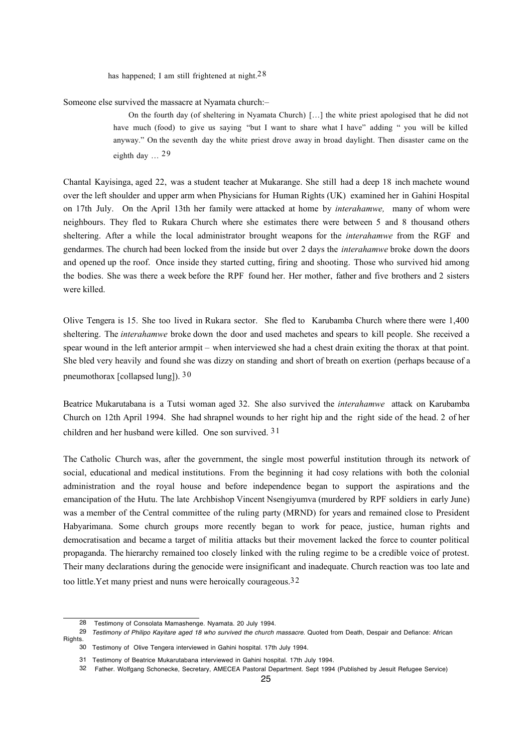has happened; I am still frightened at night.28

Someone else survived the massacre at Nyamata church:–

On the fourth day (of sheltering in Nyamata Church) […] the white priest apologised that he did not have much (food) to give us saying "but I want to share what I have" adding " you will be killed anyway." On the seventh day the white priest drove away in broad daylight. Then disaster came on the eighth day … 29

Chantal Kayisinga, aged 22, was a student teacher at Mukarange. She still had a deep 18 inch machete wound over the left shoulder and upper arm when Physicians for Human Rights (UK) examined her in Gahini Hospital on 17th July. On the April 13th her family were attacked at home by *interahamwe,* many of whom were neighbours. They fled to Rukara Church where she estimates there were between 5 and 8 thousand others sheltering. After a while the local administrator brought weapons for the *interahamwe* from the RGF and gendarmes. The church had been locked from the inside but over 2 days the *interahamwe* broke down the doors and opened up the roof. Once inside they started cutting, firing and shooting. Those who survived hid among the bodies. She was there a week before the RPF found her. Her mother, father and five brothers and 2 sisters were killed.

Olive Tengera is 15. She too lived in Rukara sector. She fled to Karubamba Church where there were 1,400 sheltering. The *interahamwe* broke down the door and used machetes and spears to kill people. She received a spear wound in the left anterior armpit – when interviewed she had a chest drain exiting the thorax at that point. She bled very heavily and found she was dizzy on standing and short of breath on exertion (perhaps because of a pneumothorax [collapsed lung]). 30

Beatrice Mukarutabana is a Tutsi woman aged 32. She also survived the *interahamwe* attack on Karubamba Church on 12th April 1994. She had shrapnel wounds to her right hip and the right side of the head. 2 of her children and her husband were killed. One son survived. 31

The Catholic Church was, after the government, the single most powerful institution through its network of social, educational and medical institutions. From the beginning it had cosy relations with both the colonial administration and the royal house and before independence began to support the aspirations and the emancipation of the Hutu. The late Archbishop Vincent Nsengiyumva (murdered by RPF soldiers in early June) was a member of the Central committee of the ruling party (MRND) for years and remained close to President Habyarimana. Some church groups more recently began to work for peace, justice, human rights and democratisation and became a target of militia attacks but their movement lacked the force to counter political propaganda. The hierarchy remained too closely linked with the ruling regime to be a credible voice of protest. Their many declarations during the genocide were insignificant and inadequate. Church reaction was too late and too little.Yet many priest and nuns were heroically courageous.32

<sup>28</sup> Testimony of Consolata Mamashenge. Nyamata. 20 July 1994.

<sup>29</sup> Testimony of Philipo Kayitare aged 18 who survived the church massacre. Quoted from Death, Despair and Defiance: African Rights.

<sup>30</sup> Testimony of Olive Tengera interviewed in Gahini hospital. 17th July 1994.

<sup>31</sup> Testimony of Beatrice Mukarutabana interviewed in Gahini hospital. 17th July 1994.

<sup>32</sup> Father. Wolfgang Schonecke, Secretary, AMECEA Pastoral Department. Sept 1994 (Published by Jesuit Refugee Service)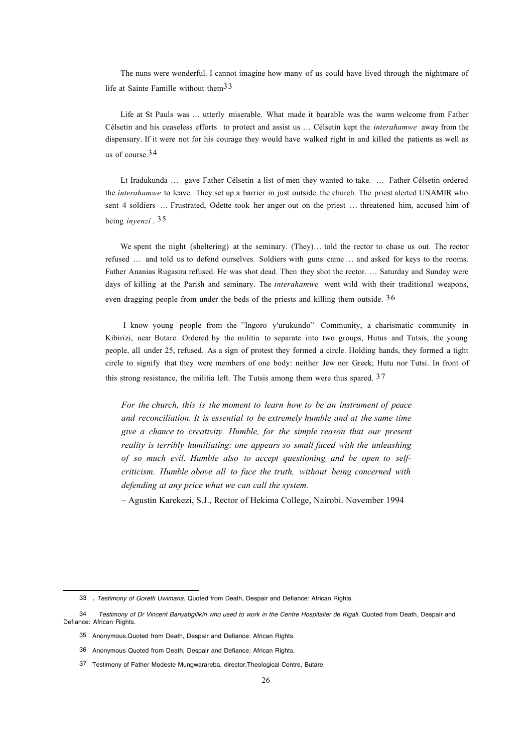The nuns were wonderful. I cannot imagine how many of us could have lived through the nightmare of life at Sainte Famille without them33

Life at St Pauls was … utterly miserable. What made it bearable was the warm welcome from Father Célsetin and his ceaseless efforts to protect and assist us … Célsetin kept the *interahamwe* away from the dispensary. If it were not for his courage they would have walked right in and killed the patients as well as us of course.34

Lt Iradukunda … gave Father Célsetin a list of men they wanted to take. … Father Célsetin ordered the *interahamwe* to leave. They set up a barrier in just outside the church. The priest alerted UNAMIR who sent 4 soldiers ... Frustrated, Odette took her anger out on the priest ... threatened him, accused him of being *inyenzi* . 35

We spent the night (sheltering) at the seminary. (They)... told the rector to chase us out. The rector refused … and told us to defend ourselves. Soldiers with guns came … and asked for keys to the rooms. Father Ananias Rugasira refused. He was shot dead. Then they shot the rector. … Saturday and Sunday were days of killing at the Parish and seminary. The *interahamwe* went wild with their traditional weapons, even dragging people from under the beds of the priests and killing them outside. 36

I know young people from the "Ingoro y'urukundo" Community, a charismatic community in Kibirizi, near Butare. Ordered by the militia to separate into two groups, Hutus and Tutsis, the young people, all under 25, refused. As a sign of protest they formed a circle. Holding hands, they formed a tight circle to signify that they were members of one body: neither Jew nor Greek; Hutu nor Tutsi. In front of this strong resistance, the militia left. The Tutsis among them were thus spared.  $37$ 

*For the church, this is the moment to learn how to be an instrument of peace and reconciliation. It is essential to be extremely humble and at the same time give a chance to creativity. Humble, for the simple reason that our present reality is terribly humiliating: one appears so small faced with the unleashing of so much evil. Humble also to accept questioning and be open to selfcriticism. Humble above all to face the truth, without being concerned with defending at any price what we can call the system.*

– Agustin Karekezi, S.J., Rector of Hekima College, Nairobi. November 1994

<sup>33 .</sup> Testimony of Goretti Uwimana. Quoted from Death, Despair and Defiance: African Rights.

<sup>34</sup> Testimony of Dr Vincent Banyabgilikiri who used to work in the Centre Hospitalier de Kigali. Quoted from Death, Despair and Defiance: African Rights.

<sup>35</sup> Anonymous.Quoted from Death, Despair and Defiance: African Rights.

<sup>36</sup> Anonymous Quoted from Death, Despair and Defiance: African Rights.

<sup>37</sup> Testimony of Father Modeste Mungwarareba, director,Theological Centre, Butare.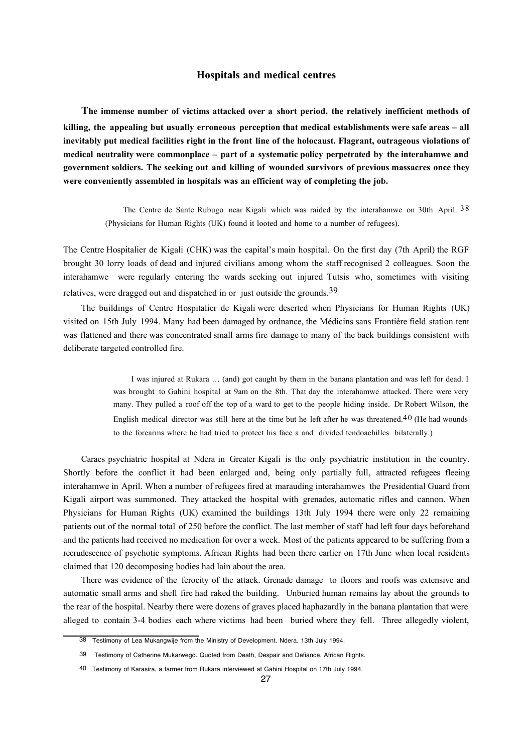#### **Hospitals and medical centres**

**The immense number of victims attacked over a short period, the relatively inefficient methods of killing, the appealing but usually erroneous perception that medical establishments were safe areas – all inevitably put medical facilities right in the front line of the holocaust. Flagrant, outrageous violations of medical neutrality were commonplace – part of a systematic policy perpetrated by the interahamwe and government soldiers. The seeking out and killing of wounded survivors of previous massacres once they were conveniently assembled in hospitals was an efficient way of completing the job.** 

> The Centre de Sante Rubugo near Kigali which was raided by the interahamwe on 30th April. 38 (Physicians for Human Rights (UK) found it looted and home to a number of refugees).

The Centre Hospitalier de Kigali (CHK) was the capital's main hospital. On the first day (7th April) the RGF brought 30 lorry loads of dead and injured civilians among whom the staff recognised 2 colleagues. Soon the interahamwe were regularly entering the wards seeking out injured Tutsis who, sometimes with visiting relatives, were dragged out and dispatched in or just outside the grounds.<sup>39</sup>

The buildings of Centre Hospitalier de Kigali were deserted when Physicians for Human Rights (UK) visited on 15th July 1994. Many had been damaged by ordnance, the Médicins sans Frontière field station tent was flattened and there was concentrated small arms fire damage to many of the back buildings consistent with deliberate targeted controlled fire.

> I was injured at Rukara … (and) got caught by them in the banana plantation and was left for dead. I was brought to Gahini hospital at 9am on the 8th. That day the interahamwe attacked. There were very many. They pulled a roof off the top of a ward to get to the people hiding inside. Dr Robert Wilson, the English medical director was still here at the time but he left after he was threatened.<sup>40</sup> (He had wounds to the forearms where he had tried to protect his face a and divided tendoachilles bilaterally.)

Caraes psychiatric hospital at Ndera in Greater Kigali is the only psychiatric institution in the country. Shortly before the conflict it had been enlarged and, being only partially full, attracted refugees fleeing interahamwe in April. When a number of refugees fired at marauding interahamwes the Presidential Guard from Kigali airport was summoned. They attacked the hospital with grenades, automatic rifles and cannon. When Physicians for Human Rights (UK) examined the buildings 13th July 1994 there were only 22 remaining patients out of the normal total of 250 before the conflict. The last member of staff had left four days beforehand and the patients had received no medication for over a week. Most of the patients appeared to be suffering from a recrudescence of psychotic symptoms. African Rights had been there earlier on 17th June when local residents claimed that 120 decomposing bodies had lain about the area.

There was evidence of the ferocity of the attack. Grenade damage to floors and roofs was extensive and automatic small arms and shell fire had raked the building. Unburied human remains lay about the grounds to the rear of the hospital. Nearby there were dozens of graves placed haphazardly in the banana plantation that were alleged to contain 3-4 bodies each where victims had been buried where they fell. Three allegedly violent,

<sup>38</sup> Testimony of Lea Mukangwije from the Ministry of Development. Ndera. 13th July 1994.

<sup>39</sup> Testimony of Catherine Mukarwego. Quoted from Death, Despair and Defiance, African Rights.

<sup>40</sup> Testimony of Karasira, a farmer from Rukara interviewed at Gahini Hospital on 17th July 1994.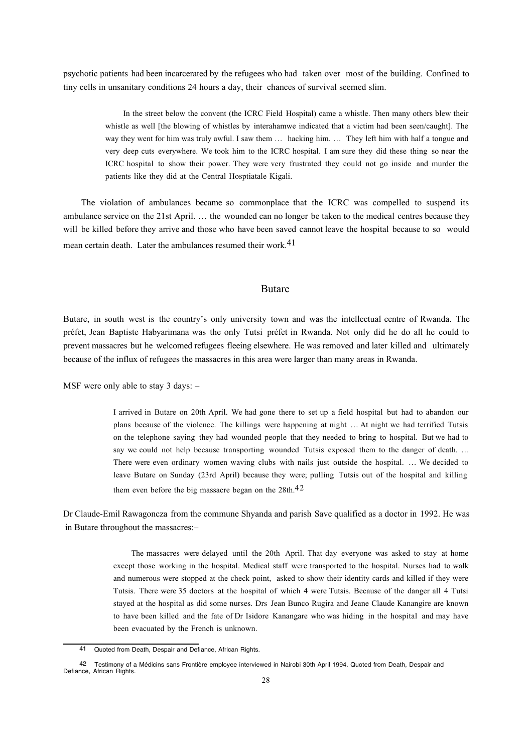psychotic patients had been incarcerated by the refugees who had taken over most of the building. Confined to tiny cells in unsanitary conditions 24 hours a day, their chances of survival seemed slim.

> In the street below the convent (the ICRC Field Hospital) came a whistle. Then many others blew their whistle as well [the blowing of whistles by interahamwe indicated that a victim had been seen/caught]. The way they went for him was truly awful. I saw them … hacking him. … They left him with half a tongue and very deep cuts everywhere. We took him to the ICRC hospital. I am sure they did these thing so near the ICRC hospital to show their power. They were very frustrated they could not go inside and murder the patients like they did at the Central Hosptiatale Kigali.

The violation of ambulances became so commonplace that the ICRC was compelled to suspend its ambulance service on the 21st April. … the wounded can no longer be taken to the medical centres because they will be killed before they arrive and those who have been saved cannot leave the hospital because to so would mean certain death. Later the ambulances resumed their work.<sup>41</sup>

### Butare

Butare, in south west is the country's only university town and was the intellectual centre of Rwanda. The préfet, Jean Baptiste Habyarimana was the only Tutsi préfet in Rwanda. Not only did he do all he could to prevent massacres but he welcomed refugees fleeing elsewhere. He was removed and later killed and ultimately because of the influx of refugees the massacres in this area were larger than many areas in Rwanda.

MSF were only able to stay 3 days: –

I arrived in Butare on 20th April. We had gone there to set up a field hospital but had to abandon our plans because of the violence. The killings were happening at night … At night we had terrified Tutsis on the telephone saying they had wounded people that they needed to bring to hospital. But we had to say we could not help because transporting wounded Tutsis exposed them to the danger of death. ... There were even ordinary women waving clubs with nails just outside the hospital. … We decided to leave Butare on Sunday (23rd April) because they were; pulling Tutsis out of the hospital and killing them even before the big massacre began on the 28th.42

Dr Claude-Emil Rawagoncza from the commune Shyanda and parish Save qualified as a doctor in 1992. He was in Butare throughout the massacres:–

> The massacres were delayed until the 20th April. That day everyone was asked to stay at home except those working in the hospital. Medical staff were transported to the hospital. Nurses had to walk and numerous were stopped at the check point, asked to show their identity cards and killed if they were Tutsis. There were 35 doctors at the hospital of which 4 were Tutsis. Because of the danger all 4 Tutsi stayed at the hospital as did some nurses. Drs Jean Bunco Rugira and Jeane Claude Kanangire are known to have been killed and the fate of Dr Isidore Kanangare who was hiding in the hospital and may have been evacuated by the French is unknown.

<sup>41</sup> Quoted from Death, Despair and Defiance, African Rights.

<sup>42</sup> Testimony of a Médicins sans Frontière employee interviewed in Nairobi 30th April 1994. Quoted from Death, Despair and Defiance, African Rights.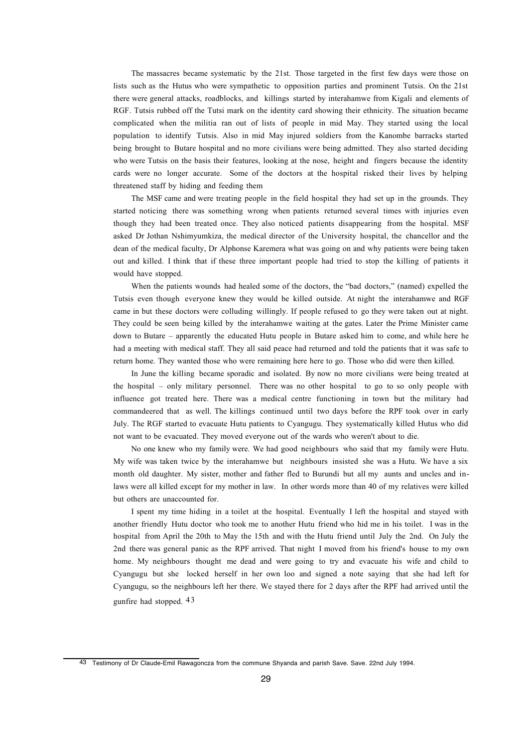The massacres became systematic by the 21st. Those targeted in the first few days were those on lists such as the Hutus who were sympathetic to opposition parties and prominent Tutsis. On the 21st there were general attacks, roadblocks, and killings started by interahamwe from Kigali and elements of RGF. Tutsis rubbed off the Tutsi mark on the identity card showing their ethnicity. The situation became complicated when the militia ran out of lists of people in mid May. They started using the local population to identify Tutsis. Also in mid May injured soldiers from the Kanombe barracks started being brought to Butare hospital and no more civilians were being admitted. They also started deciding who were Tutsis on the basis their features, looking at the nose, height and fingers because the identity cards were no longer accurate. Some of the doctors at the hospital risked their lives by helping threatened staff by hiding and feeding them

The MSF came and were treating people in the field hospital they had set up in the grounds. They started noticing there was something wrong when patients returned several times with injuries even though they had been treated once. They also noticed patients disappearing from the hospital. MSF asked Dr Jothan Nshimyumkiza, the medical director of the University hospital, the chancellor and the dean of the medical faculty, Dr Alphonse Karemera what was going on and why patients were being taken out and killed. I think that if these three important people had tried to stop the killing of patients it would have stopped.

When the patients wounds had healed some of the doctors, the "bad doctors," (named) expelled the Tutsis even though everyone knew they would be killed outside. At night the interahamwe and RGF came in but these doctors were colluding willingly. If people refused to go they were taken out at night. They could be seen being killed by the interahamwe waiting at the gates. Later the Prime Minister came down to Butare – apparently the educated Hutu people in Butare asked him to come, and while here he had a meeting with medical staff. They all said peace had returned and told the patients that it was safe to return home. They wanted those who were remaining here here to go. Those who did were then killed.

In June the killing became sporadic and isolated. By now no more civilians were being treated at the hospital – only military personnel. There was no other hospital to go to so only people with influence got treated here. There was a medical centre functioning in town but the military had commandeered that as well. The killings continued until two days before the RPF took over in early July. The RGF started to evacuate Hutu patients to Cyangugu. They systematically killed Hutus who did not want to be evacuated. They moved everyone out of the wards who weren't about to die.

No one knew who my family were. We had good neighbours who said that my family were Hutu. My wife was taken twice by the interahamwe but neighbours insisted she was a Hutu. We have a six month old daughter. My sister, mother and father fled to Burundi but all my aunts and uncles and inlaws were all killed except for my mother in law. In other words more than 40 of my relatives were killed but others are unaccounted for.

I spent my time hiding in a toilet at the hospital. Eventually I left the hospital and stayed with another friendly Hutu doctor who took me to another Hutu friend who hid me in his toilet. I was in the hospital from April the 20th to May the 15th and with the Hutu friend until July the 2nd. On July the 2nd there was general panic as the RPF arrived. That night I moved from his friend's house to my own home. My neighbours thought me dead and were going to try and evacuate his wife and child to Cyangugu but she locked herself in her own loo and signed a note saying that she had left for Cyangugu, so the neighbours left her there. We stayed there for 2 days after the RPF had arrived until the gunfire had stopped. 43

<sup>43</sup> Testimony of Dr Claude-Emil Rawagoncza from the commune Shyanda and parish Save. Save. 22nd July 1994.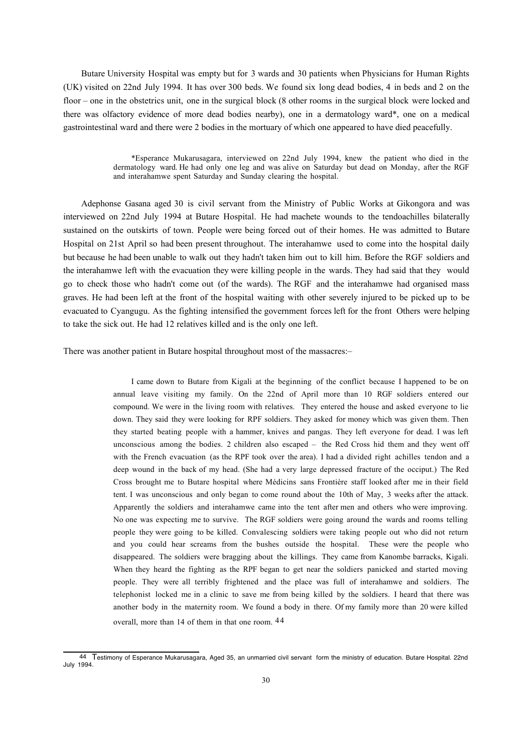Butare University Hospital was empty but for 3 wards and 30 patients when Physicians for Human Rights (UK) visited on 22nd July 1994. It has over 300 beds. We found six long dead bodies, 4 in beds and 2 on the floor – one in the obstetrics unit, one in the surgical block (8 other rooms in the surgical block were locked and there was olfactory evidence of more dead bodies nearby), one in a dermatology ward\*, one on a medical gastrointestinal ward and there were 2 bodies in the mortuary of which one appeared to have died peacefully.

> \*Esperance Mukarusagara, interviewed on 22nd July 1994, knew the patient who died in the dermatology ward. He had only one leg and was alive on Saturday but dead on Monday, after the RGF and interahamwe spent Saturday and Sunday clearing the hospital.

Adephonse Gasana aged 30 is civil servant from the Ministry of Public Works at Gikongora and was interviewed on 22nd July 1994 at Butare Hospital. He had machete wounds to the tendoachilles bilaterally sustained on the outskirts of town. People were being forced out of their homes. He was admitted to Butare Hospital on 21st April so had been present throughout. The interahamwe used to come into the hospital daily but because he had been unable to walk out they hadn't taken him out to kill him. Before the RGF soldiers and the interahamwe left with the evacuation they were killing people in the wards. They had said that they would go to check those who hadn't come out (of the wards). The RGF and the interahamwe had organised mass graves. He had been left at the front of the hospital waiting with other severely injured to be picked up to be evacuated to Cyangugu. As the fighting intensified the government forces left for the front Others were helping to take the sick out. He had 12 relatives killed and is the only one left.

There was another patient in Butare hospital throughout most of the massacres:–

I came down to Butare from Kigali at the beginning of the conflict because I happened to be on annual leave visiting my family. On the 22nd of April more than 10 RGF soldiers entered our compound. We were in the living room with relatives. They entered the house and asked everyone to lie down. They said they were looking for RPF soldiers. They asked for money which was given them. Then they started beating people with a hammer, knives and pangas. They left everyone for dead. I was left unconscious among the bodies. 2 children also escaped – the Red Cross hid them and they went off with the French evacuation (as the RPF took over the area). I had a divided right achilles tendon and a deep wound in the back of my head. (She had a very large depressed fracture of the occiput.) The Red Cross brought me to Butare hospital where Médicins sans Frontière staff looked after me in their field tent. I was unconscious and only began to come round about the 10th of May, 3 weeks after the attack. Apparently the soldiers and interahamwe came into the tent after men and others who were improving. No one was expecting me to survive. The RGF soldiers were going around the wards and rooms telling people they were going to be killed. Convalescing soldiers were taking people out who did not return and you could hear screams from the bushes outside the hospital. These were the people who disappeared. The soldiers were bragging about the killings. They came from Kanombe barracks, Kigali. When they heard the fighting as the RPF began to get near the soldiers panicked and started moving people. They were all terribly frightened and the place was full of interahamwe and soldiers. The telephonist locked me in a clinic to save me from being killed by the soldiers. I heard that there was another body in the maternity room. We found a body in there. Of my family more than 20 were killed overall, more than 14 of them in that one room. 44

<sup>44</sup> Testimony of Esperance Mukarusagara, Aged 35, an unmarried civil servant form the ministry of education. Butare Hospital. 22nd July 1994.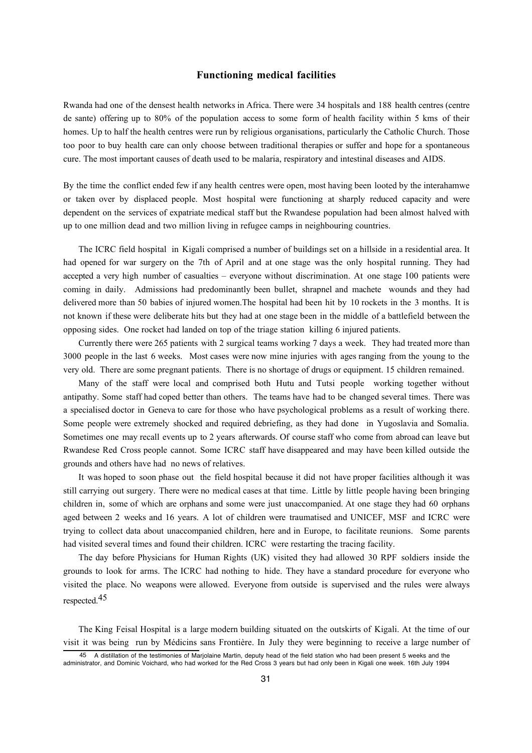#### **Functioning medical facilities**

Rwanda had one of the densest health networks in Africa. There were 34 hospitals and 188 health centres (centre de sante) offering up to 80% of the population access to some form of health facility within 5 kms of their homes. Up to half the health centres were run by religious organisations, particularly the Catholic Church. Those too poor to buy health care can only choose between traditional therapies or suffer and hope for a spontaneous cure. The most important causes of death used to be malaria, respiratory and intestinal diseases and AIDS.

By the time the conflict ended few if any health centres were open, most having been looted by the interahamwe or taken over by displaced people. Most hospital were functioning at sharply reduced capacity and were dependent on the services of expatriate medical staff but the Rwandese population had been almost halved with up to one million dead and two million living in refugee camps in neighbouring countries.

The ICRC field hospital in Kigali comprised a number of buildings set on a hillside in a residential area. It had opened for war surgery on the 7th of April and at one stage was the only hospital running. They had accepted a very high number of casualties – everyone without discrimination. At one stage 100 patients were coming in daily. Admissions had predominantly been bullet, shrapnel and machete wounds and they had delivered more than 50 babies of injured women.The hospital had been hit by 10 rockets in the 3 months. It is not known if these were deliberate hits but they had at one stage been in the middle of a battlefield between the opposing sides. One rocket had landed on top of the triage station killing 6 injured patients.

Currently there were 265 patients with 2 surgical teams working 7 days a week. They had treated more than 3000 people in the last 6 weeks. Most cases were now mine injuries with ages ranging from the young to the very old. There are some pregnant patients. There is no shortage of drugs or equipment. 15 children remained.

Many of the staff were local and comprised both Hutu and Tutsi people working together without antipathy. Some staff had coped better than others. The teams have had to be changed several times. There was a specialised doctor in Geneva to care for those who have psychological problems as a result of working there. Some people were extremely shocked and required debriefing, as they had done in Yugoslavia and Somalia. Sometimes one may recall events up to 2 years afterwards. Of course staff who come from abroad can leave but Rwandese Red Cross people cannot. Some ICRC staff have disappeared and may have been killed outside the grounds and others have had no news of relatives.

It was hoped to soon phase out the field hospital because it did not have proper facilities although it was still carrying out surgery. There were no medical cases at that time. Little by little people having been bringing children in, some of which are orphans and some were just unaccompanied. At one stage they had 60 orphans aged between 2 weeks and 16 years. A lot of children were traumatised and UNICEF, MSF and ICRC were trying to collect data about unaccompanied children, here and in Europe, to facilitate reunions. Some parents had visited several times and found their children. ICRC were restarting the tracing facility.

The day before Physicians for Human Rights (UK) visited they had allowed 30 RPF soldiers inside the grounds to look for arms. The ICRC had nothing to hide. They have a standard procedure for everyone who visited the place. No weapons were allowed. Everyone from outside is supervised and the rules were always respected.<sup>45</sup>

The King Feisal Hospital is a large modern building situated on the outskirts of Kigali. At the time of our visit it was being run by Médicins sans Frontière. In July they were beginning to receive a large number of

<sup>45</sup> A distillation of the testimonies of Marjolaine Martin, deputy head of the field station who had been present 5 weeks and the administrator, and Dominic Voichard, who had worked for the Red Cross 3 years but had only been in Kigali one week. 16th July 1994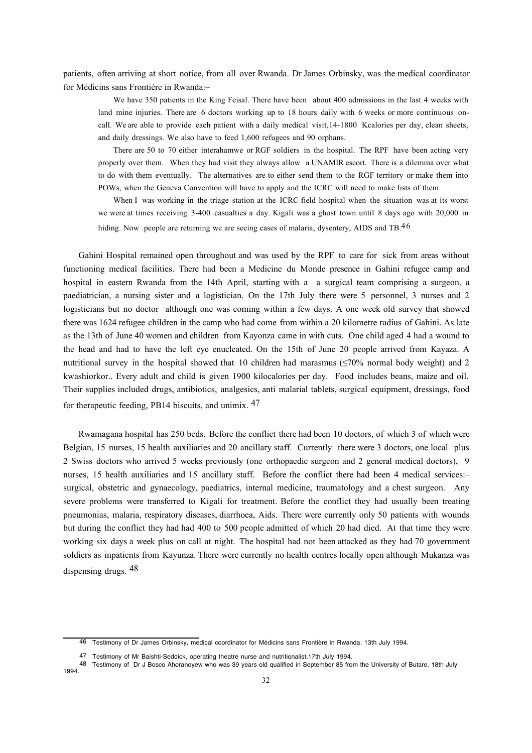patients, often arriving at short notice, from all over Rwanda. Dr James Orbinsky, was the medical coordinator for Médicins sans Frontière in Rwanda:–

We have 350 patients in the King Feisal. There have been about 400 admissions in the last 4 weeks with land mine injuries. There are 6 doctors working up to 18 hours daily with 6 weeks or more continuous oncall. We are able to provide each patient with a daily medical visit,14-1800 Kcalories per day, clean sheets, and daily dressings. We also have to feed 1,600 refugees and 90 orphans.

There are 50 to 70 either interahamwe or RGF soldiers in the hospital. The RPF have been acting very properly over them. When they had visit they always allow a UNAMIR escort. There is a dilemma over what to do with them eventually. The alternatives are to either send them to the RGF territory or make them into POWs, when the Geneva Convention will have to apply and the ICRC will need to make lists of them.

When I was working in the triage station at the ICRC field hospital when the situation was at its worst we were at times receiving 3-400 casualties a day. Kigali was a ghost town until 8 days ago with 20,000 in hiding. Now people are returning we are seeing cases of malaria, dysentery, AIDS and TB.<sup>46</sup>

Gahini Hospital remained open throughout and was used by the RPF to care for sick from areas without functioning medical facilities. There had been a Medicine du Monde presence in Gahini refugee camp and hospital in eastern Rwanda from the 14th April, starting with a a surgical team comprising a surgeon, a paediatrician, a nursing sister and a logistician. On the 17th July there were 5 personnel, 3 nurses and 2 logisticians but no doctor although one was coming within a few days. A one week old survey that showed there was 1624 refugee children in the camp who had come from within a 20 kilometre radius of Gahini. As late as the 13th of June 40 women and children from Kayonza came in with cuts. One child aged 4 had a wound to the head and had to have the left eye enucleated. On the 15th of June 20 people arrived from Kayaza. A nutritional survey in the hospital showed that 10 children had marasmus  $(\leq 70\%$  normal body weight) and 2 kwashiorkor.. Every adult and child is given 1900 kilocalories per day. Food includes beans, maize and oil. Their supplies included drugs, antibiotics, analgesics, anti malarial tablets, surgical equipment, dressings, food for therapeutic feeding, PB14 biscuits, and unimix. 47

Rwamagana hospital has 250 beds. Before the conflict there had been 10 doctors, of which 3 of which were Belgian, 15 nurses, 15 health auxiliaries and 20 ancillary staff. Currently there were 3 doctors, one local plus 2 Swiss doctors who arrived 5 weeks previously (one orthopaedic surgeon and 2 general medical doctors), 9 nurses, 15 health auxiliaries and 15 ancillary staff. Before the conflict there had been 4 medical services:surgical, obstetric and gynaecology, paediatrics, internal medicine, traumatology and a chest surgeon. Any severe problems were transferred to Kigali for treatment. Before the conflict they had usually been treating pneumonias, malaria, respiratory diseases, diarrhoea, Aids. There were currently only 50 patients with wounds but during the conflict they had had 400 to 500 people admitted of which 20 had died. At that time they were working six days a week plus on call at night. The hospital had not been attacked as they had 70 government soldiers as inpatients from Kayunza. There were currently no health centres locally open although Mukanza was dispensing drugs. 48

1994.

<sup>46</sup> Testimony of Dr James Orbinsky, medical coordinator for Médicins sans Frontière in Rwanda. 13th July 1994.

<sup>47</sup> Testimony of Mr Baishti-Seddick, operating theatre nurse and nutritionalist.17th July 1994.

<sup>48</sup> Testimony of Dr J Bosco Ahoranoyew who was 39 years old qualified in September 85 from the University of Butare. 18th July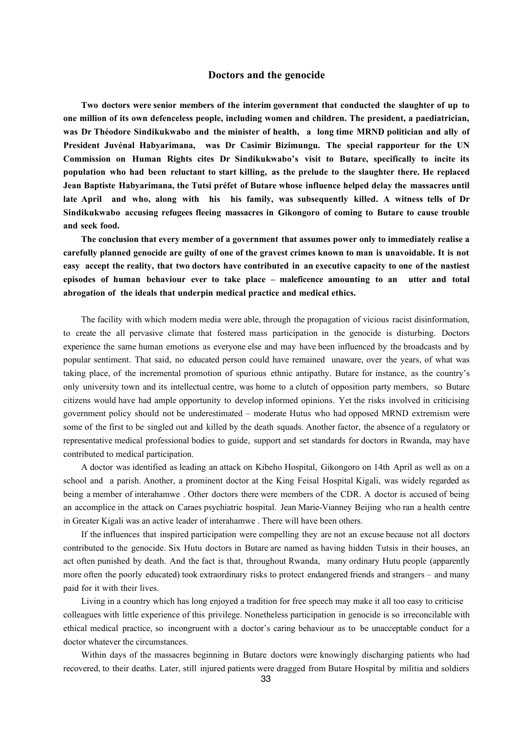### **Doctors and the genocide**

**Two doctors were senior members of the interim government that conducted the slaughter of up to one million of its own defenceless people, including women and children. The president, a paediatrician, was Dr Théodore Sindikukwabo and the minister of health, a long time MRND politician and ally of President Juvénal Habyarimana, was Dr Casimir Bizimungu. The special rapporteur for the UN Commission on Human Rights cites Dr Sindikukwabo's visit to Butare, specifically to incite its population who had been reluctant to start killing, as the prelude to the slaughter there. He replaced Jean Baptiste Habyarimana, the Tutsi préfet of Butare whose influence helped delay the massacres until late April and who, along with his his family, was subsequently killed. A witness tells of Dr Sindikukwabo accusing refugees fleeing massacres in Gikongoro of coming to Butare to cause trouble and seek food.**

**The conclusion that every member of a government that assumes power only to immediately realise a carefully planned genocide are guilty of one of the gravest crimes known to man is unavoidable. It is not easy accept the reality, that two doctors have contributed in an executive capacity to one of the nastiest episodes of human behaviour ever to take place – maleficence amounting to an utter and total abrogation of the ideals that underpin medical practice and medical ethics.** 

The facility with which modern media were able, through the propagation of vicious racist disinformation, to create the all pervasive climate that fostered mass participation in the genocide is disturbing. Doctors experience the same human emotions as everyone else and may have been influenced by the broadcasts and by popular sentiment. That said, no educated person could have remained unaware, over the years, of what was taking place, of the incremental promotion of spurious ethnic antipathy. Butare for instance, as the country's only university town and its intellectual centre, was home to a clutch of opposition party members, so Butare citizens would have had ample opportunity to develop informed opinions. Yet the risks involved in criticising government policy should not be underestimated – moderate Hutus who had opposed MRND extremism were some of the first to be singled out and killed by the death squads. Another factor, the absence of a regulatory or representative medical professional bodies to guide, support and set standards for doctors in Rwanda, may have contributed to medical participation.

A doctor was identified as leading an attack on Kibeho Hospital, Gikongoro on 14th April as well as on a school and a parish. Another, a prominent doctor at the King Feisal Hospital Kigali, was widely regarded as being a member of interahamwe . Other doctors there were members of the CDR. A doctor is accused of being an accomplice in the attack on Caraes psychiatric hospital. Jean Marie-Vianney Beijing who ran a health centre in Greater Kigali was an active leader of interahamwe . There will have been others.

If the influences that inspired participation were compelling they are not an excuse because not all doctors contributed to the genocide. Six Hutu doctors in Butare are named as having hidden Tutsis in their houses, an act often punished by death. And the fact is that, throughout Rwanda, many ordinary Hutu people (apparently more often the poorly educated) took extraordinary risks to protect endangered friends and strangers – and many paid for it with their lives.

Living in a country which has long enjoyed a tradition for free speech may make it all too easy to criticise colleagues with little experience of this privilege. Nonetheless participation in genocide is so irreconcilable with ethical medical practice, so incongruent with a doctor's caring behaviour as to be unacceptable conduct for a doctor whatever the circumstances.

Within days of the massacres beginning in Butare doctors were knowingly discharging patients who had recovered, to their deaths. Later, still injured patients were dragged from Butare Hospital by militia and soldiers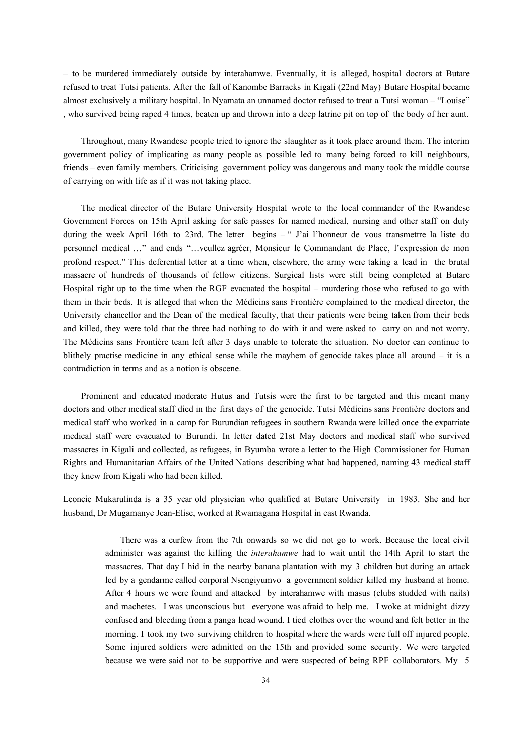– to be murdered immediately outside by interahamwe. Eventually, it is alleged, hospital doctors at Butare refused to treat Tutsi patients. After the fall of Kanombe Barracks in Kigali (22nd May) Butare Hospital became almost exclusively a military hospital. In Nyamata an unnamed doctor refused to treat a Tutsi woman – "Louise" , who survived being raped 4 times, beaten up and thrown into a deep latrine pit on top of the body of her aunt.

Throughout, many Rwandese people tried to ignore the slaughter as it took place around them. The interim government policy of implicating as many people as possible led to many being forced to kill neighbours, friends – even family members. Criticising government policy was dangerous and many took the middle course of carrying on with life as if it was not taking place.

The medical director of the Butare University Hospital wrote to the local commander of the Rwandese Government Forces on 15th April asking for safe passes for named medical, nursing and other staff on duty during the week April 16th to 23rd. The letter begins – " J'ai l'honneur de vous transmettre la liste du personnel medical …" and ends "…veullez agréer, Monsieur le Commandant de Place, l'expression de mon profond respect." This deferential letter at a time when, elsewhere, the army were taking a lead in the brutal massacre of hundreds of thousands of fellow citizens. Surgical lists were still being completed at Butare Hospital right up to the time when the RGF evacuated the hospital – murdering those who refused to go with them in their beds. It is alleged that when the Médicins sans Frontière complained to the medical director, the University chancellor and the Dean of the medical faculty, that their patients were being taken from their beds and killed, they were told that the three had nothing to do with it and were asked to carry on and not worry. The Médicins sans Frontière team left after 3 days unable to tolerate the situation. No doctor can continue to blithely practise medicine in any ethical sense while the mayhem of genocide takes place all around – it is a contradiction in terms and as a notion is obscene.

Prominent and educated moderate Hutus and Tutsis were the first to be targeted and this meant many doctors and other medical staff died in the first days of the genocide. Tutsi Médicins sans Frontière doctors and medical staff who worked in a camp for Burundian refugees in southern Rwanda were killed once the expatriate medical staff were evacuated to Burundi. In letter dated 21st May doctors and medical staff who survived massacres in Kigali and collected, as refugees, in Byumba wrote a letter to the High Commissioner for Human Rights and Humanitarian Affairs of the United Nations describing what had happened, naming 43 medical staff they knew from Kigali who had been killed.

Leoncie Mukarulinda is a 35 year old physician who qualified at Butare University in 1983. She and her husband, Dr Mugamanye Jean-Elise, worked at Rwamagana Hospital in east Rwanda.

> There was a curfew from the 7th onwards so we did not go to work. Because the local civil administer was against the killing the *interahamwe* had to wait until the 14th April to start the massacres. That day I hid in the nearby banana plantation with my 3 children but during an attack led by a gendarme called corporal Nsengiyumvo a government soldier killed my husband at home. After 4 hours we were found and attacked by interahamwe with masus (clubs studded with nails) and machetes. I was unconscious but everyone was afraid to help me. I woke at midnight dizzy confused and bleeding from a panga head wound. I tied clothes over the wound and felt better in the morning. I took my two surviving children to hospital where the wards were full off injured people. Some injured soldiers were admitted on the 15th and provided some security. We were targeted because we were said not to be supportive and were suspected of being RPF collaborators. My 5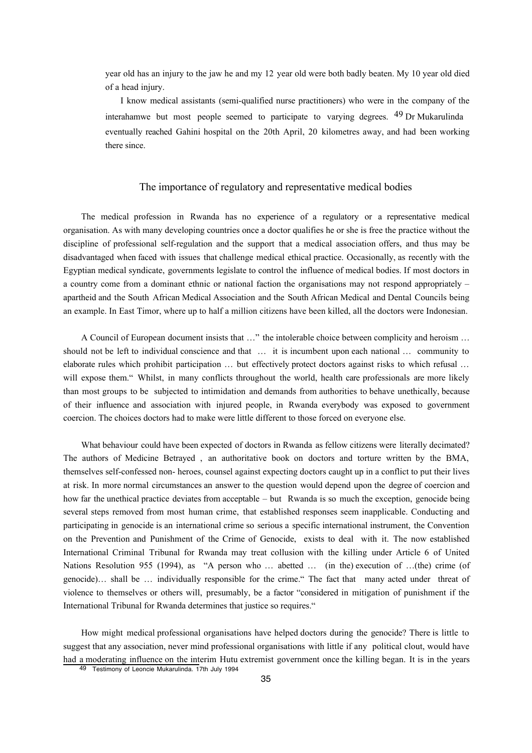year old has an injury to the jaw he and my 12 year old were both badly beaten. My 10 year old died of a head injury.

I know medical assistants (semi-qualified nurse practitioners) who were in the company of the interahamwe but most people seemed to participate to varying degrees. 49 Dr Mukarulinda eventually reached Gahini hospital on the 20th April, 20 kilometres away, and had been working there since.

### The importance of regulatory and representative medical bodies

The medical profession in Rwanda has no experience of a regulatory or a representative medical organisation. As with many developing countries once a doctor qualifies he or she is free the practice without the discipline of professional self-regulation and the support that a medical association offers, and thus may be disadvantaged when faced with issues that challenge medical ethical practice. Occasionally, as recently with the Egyptian medical syndicate, governments legislate to control the influence of medical bodies. If most doctors in a country come from a dominant ethnic or national faction the organisations may not respond appropriately – apartheid and the South African Medical Association and the South African Medical and Dental Councils being an example. In East Timor, where up to half a million citizens have been killed, all the doctors were Indonesian.

A Council of European document insists that …" the intolerable choice between complicity and heroism … should not be left to individual conscience and that ... it is incumbent upon each national ... community to elaborate rules which prohibit participation … but effectively protect doctors against risks to which refusal … will expose them." Whilst, in many conflicts throughout the world, health care professionals are more likely than most groups to be subjected to intimidation and demands from authorities to behave unethically, because of their influence and association with injured people, in Rwanda everybody was exposed to government coercion. The choices doctors had to make were little different to those forced on everyone else.

What behaviour could have been expected of doctors in Rwanda as fellow citizens were literally decimated? The authors of Medicine Betrayed , an authoritative book on doctors and torture written by the BMA, themselves self-confessed non- heroes, counsel against expecting doctors caught up in a conflict to put their lives at risk. In more normal circumstances an answer to the question would depend upon the degree of coercion and how far the unethical practice deviates from acceptable – but Rwanda is so much the exception, genocide being several steps removed from most human crime, that established responses seem inapplicable. Conducting and participating in genocide is an international crime so serious a specific international instrument, the Convention on the Prevention and Punishment of the Crime of Genocide, exists to deal with it. The now established International Criminal Tribunal for Rwanda may treat collusion with the killing under Article 6 of United Nations Resolution 955 (1994), as "A person who ... abetted ... (in the) execution of ... (the) crime (of genocide)… shall be … individually responsible for the crime." The fact that many acted under threat of violence to themselves or others will, presumably, be a factor "considered in mitigation of punishment if the International Tribunal for Rwanda determines that justice so requires."

How might medical professional organisations have helped doctors during the genocide? There is little to suggest that any association, never mind professional organisations with little if any political clout, would have had a moderating influence on the interim Hutu extremist government once the killing began. It is in the years 49 Testimony of Leoncie Mukarulinda. 17th July 1994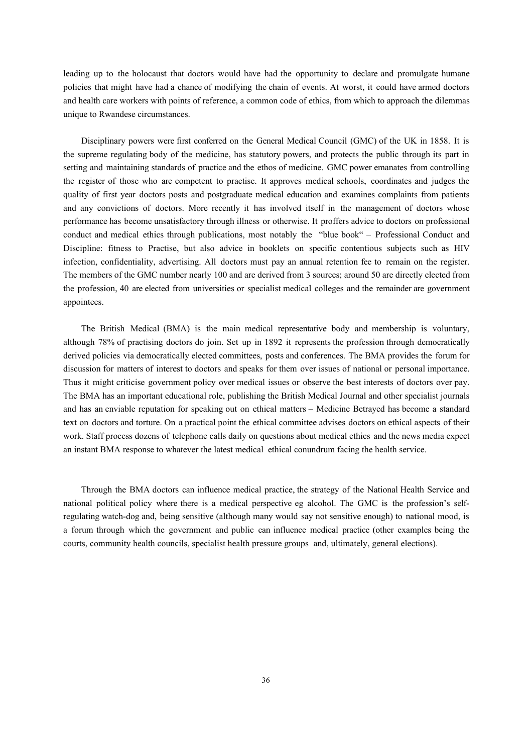leading up to the holocaust that doctors would have had the opportunity to declare and promulgate humane policies that might have had a chance of modifying the chain of events. At worst, it could have armed doctors and health care workers with points of reference, a common code of ethics, from which to approach the dilemmas unique to Rwandese circumstances.

Disciplinary powers were first conferred on the General Medical Council (GMC) of the UK in 1858. It is the supreme regulating body of the medicine, has statutory powers, and protects the public through its part in setting and maintaining standards of practice and the ethos of medicine. GMC power emanates from controlling the register of those who are competent to practise. It approves medical schools, coordinates and judges the quality of first year doctors posts and postgraduate medical education and examines complaints from patients and any convictions of doctors. More recently it has involved itself in the management of doctors whose performance has become unsatisfactory through illness or otherwise. It proffers advice to doctors on professional conduct and medical ethics through publications, most notably the "blue book" – Professional Conduct and Discipline: fitness to Practise, but also advice in booklets on specific contentious subjects such as HIV infection, confidentiality, advertising. All doctors must pay an annual retention fee to remain on the register. The members of the GMC number nearly 100 and are derived from 3 sources; around 50 are directly elected from the profession, 40 are elected from universities or specialist medical colleges and the remainder are government appointees.

The British Medical (BMA) is the main medical representative body and membership is voluntary, although 78% of practising doctors do join. Set up in 1892 it represents the profession through democratically derived policies via democratically elected committees, posts and conferences. The BMA provides the forum for discussion for matters of interest to doctors and speaks for them over issues of national or personal importance. Thus it might criticise government policy over medical issues or observe the best interests of doctors over pay. The BMA has an important educational role, publishing the British Medical Journal and other specialist journals and has an enviable reputation for speaking out on ethical matters – Medicine Betrayed has become a standard text on doctors and torture. On a practical point the ethical committee advises doctors on ethical aspects of their work. Staff process dozens of telephone calls daily on questions about medical ethics and the news media expect an instant BMA response to whatever the latest medical ethical conundrum facing the health service.

Through the BMA doctors can influence medical practice, the strategy of the National Health Service and national political policy where there is a medical perspective eg alcohol. The GMC is the profession's selfregulating watch-dog and, being sensitive (although many would say not sensitive enough) to national mood, is a forum through which the government and public can influence medical practice (other examples being the courts, community health councils, specialist health pressure groups and, ultimately, general elections).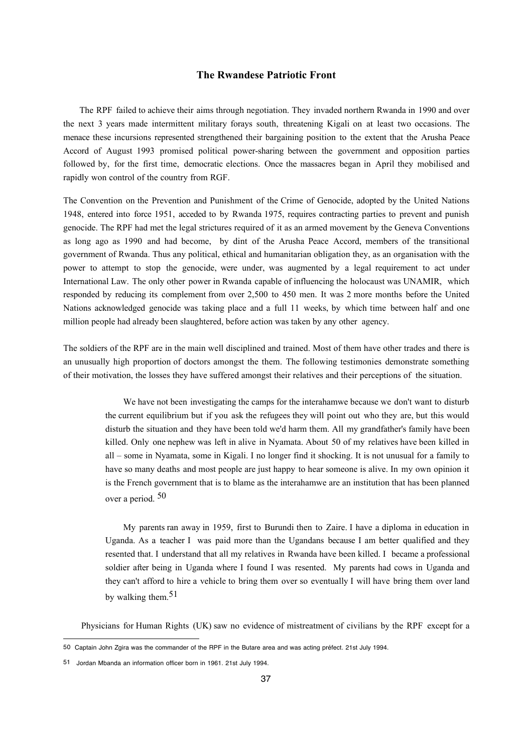### **The Rwandese Patriotic Front**

The RPF failed to achieve their aims through negotiation. They invaded northern Rwanda in 1990 and over the next 3 years made intermittent military forays south, threatening Kigali on at least two occasions. The menace these incursions represented strengthened their bargaining position to the extent that the Arusha Peace Accord of August 1993 promised political power-sharing between the government and opposition parties followed by, for the first time, democratic elections. Once the massacres began in April they mobilised and rapidly won control of the country from RGF.

The Convention on the Prevention and Punishment of the Crime of Genocide, adopted by the United Nations 1948, entered into force 1951, acceded to by Rwanda 1975, requires contracting parties to prevent and punish genocide. The RPF had met the legal strictures required of it as an armed movement by the Geneva Conventions as long ago as 1990 and had become, by dint of the Arusha Peace Accord, members of the transitional government of Rwanda. Thus any political, ethical and humanitarian obligation they, as an organisation with the power to attempt to stop the genocide, were under, was augmented by a legal requirement to act under International Law. The only other power in Rwanda capable of influencing the holocaust was UNAMIR, which responded by reducing its complement from over 2,500 to 450 men. It was 2 more months before the United Nations acknowledged genocide was taking place and a full 11 weeks, by which time between half and one million people had already been slaughtered, before action was taken by any other agency.

The soldiers of the RPF are in the main well disciplined and trained. Most of them have other trades and there is an unusually high proportion of doctors amongst the them. The following testimonies demonstrate something of their motivation, the losses they have suffered amongst their relatives and their perceptions of the situation.

> We have not been investigating the camps for the interahamwe because we don't want to disturb the current equilibrium but if you ask the refugees they will point out who they are, but this would disturb the situation and they have been told we'd harm them. All my grandfather's family have been killed. Only one nephew was left in alive in Nyamata. About 50 of my relatives have been killed in all – some in Nyamata, some in Kigali. I no longer find it shocking. It is not unusual for a family to have so many deaths and most people are just happy to hear someone is alive. In my own opinion it is the French government that is to blame as the interahamwe are an institution that has been planned over a period. 50

> My parents ran away in 1959, first to Burundi then to Zaire. I have a diploma in education in Uganda. As a teacher I was paid more than the Ugandans because I am better qualified and they resented that. I understand that all my relatives in Rwanda have been killed. I became a professional soldier after being in Uganda where I found I was resented. My parents had cows in Uganda and they can't afford to hire a vehicle to bring them over so eventually I will have bring them over land by walking them.<sup>51</sup>

Physicians for Human Rights (UK) saw no evidence of mistreatment of civilians by the RPF except for a

<sup>50</sup> Captain John Zgira was the commander of the RPF in the Butare area and was acting préfect. 21st July 1994.

<sup>51</sup> Jordan Mbanda an information officer born in 1961. 21st July 1994.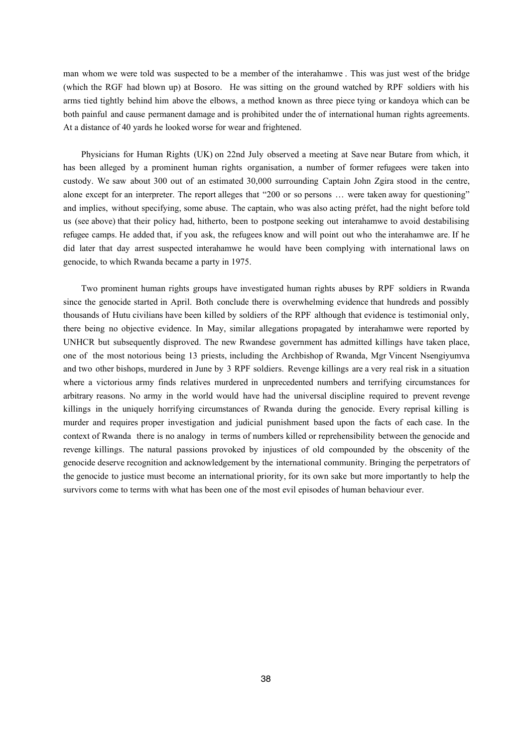man whom we were told was suspected to be a member of the interahamwe . This was just west of the bridge (which the RGF had blown up) at Bosoro. He was sitting on the ground watched by RPF soldiers with his arms tied tightly behind him above the elbows, a method known as three piece tying or kandoya which can be both painful and cause permanent damage and is prohibited under the of international human rights agreements. At a distance of 40 yards he looked worse for wear and frightened.

Physicians for Human Rights (UK) on 22nd July observed a meeting at Save near Butare from which, it has been alleged by a prominent human rights organisation, a number of former refugees were taken into custody. We saw about 300 out of an estimated 30,000 surrounding Captain John Zgira stood in the centre, alone except for an interpreter. The report alleges that "200 or so persons … were taken away for questioning" and implies, without specifying, some abuse. The captain, who was also acting préfet, had the night before told us (see above) that their policy had, hitherto, been to postpone seeking out interahamwe to avoid destabilising refugee camps. He added that, if you ask, the refugees know and will point out who the interahamwe are. If he did later that day arrest suspected interahamwe he would have been complying with international laws on genocide, to which Rwanda became a party in 1975.

Two prominent human rights groups have investigated human rights abuses by RPF soldiers in Rwanda since the genocide started in April. Both conclude there is overwhelming evidence that hundreds and possibly thousands of Hutu civilians have been killed by soldiers of the RPF although that evidence is testimonial only, there being no objective evidence. In May, similar allegations propagated by interahamwe were reported by UNHCR but subsequently disproved. The new Rwandese government has admitted killings have taken place, one of the most notorious being 13 priests, including the Archbishop of Rwanda, Mgr Vincent Nsengiyumva and two other bishops, murdered in June by 3 RPF soldiers. Revenge killings are a very real risk in a situation where a victorious army finds relatives murdered in unprecedented numbers and terrifying circumstances for arbitrary reasons. No army in the world would have had the universal discipline required to prevent revenge killings in the uniquely horrifying circumstances of Rwanda during the genocide. Every reprisal killing is murder and requires proper investigation and judicial punishment based upon the facts of each case. In the context of Rwanda there is no analogy in terms of numbers killed or reprehensibility between the genocide and revenge killings. The natural passions provoked by injustices of old compounded by the obscenity of the genocide deserve recognition and acknowledgement by the international community. Bringing the perpetrators of the genocide to justice must become an international priority, for its own sake but more importantly to help the survivors come to terms with what has been one of the most evil episodes of human behaviour ever.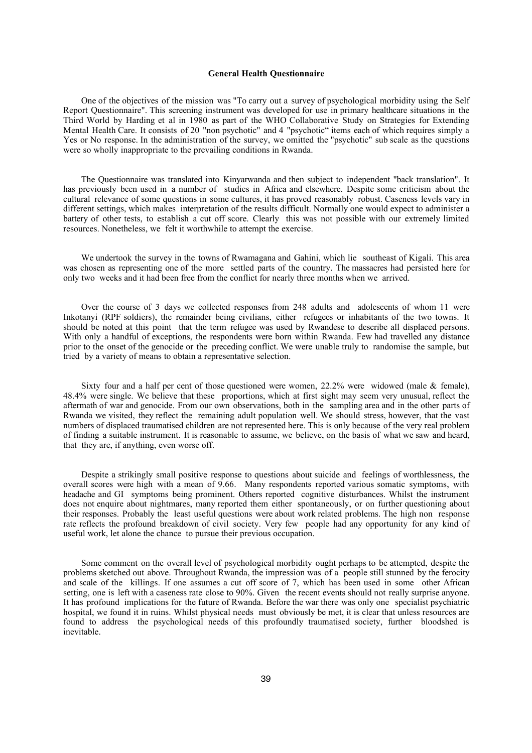### **General Health Questionnaire**

One of the objectives of the mission was "To carry out a survey of psychological morbidity using the Self Report Questionnaire". This screening instrument was developed for use in primary healthcare situations in the Third World by Harding et al in 1980 as part of the WHO Collaborative Study on Strategies for Extending Mental Health Care. It consists of 20 "non psychotic" and 4 "psychotic" items each of which requires simply a Yes or No response. In the administration of the survey, we omitted the "psychotic" sub scale as the questions were so wholly inappropriate to the prevailing conditions in Rwanda.

The Questionnaire was translated into Kinyarwanda and then subject to independent "back translation". It has previously been used in a number of studies in Africa and elsewhere. Despite some criticism about the cultural relevance of some questions in some cultures, it has proved reasonably robust. Caseness levels vary in different settings, which makes interpretation of the results difficult. Normally one would expect to administer a battery of other tests, to establish a cut off score. Clearly this was not possible with our extremely limited resources. Nonetheless, we felt it worthwhile to attempt the exercise.

We undertook the survey in the towns of Rwamagana and Gahini, which lie southeast of Kigali. This area was chosen as representing one of the more settled parts of the country. The massacres had persisted here for only two weeks and it had been free from the conflict for nearly three months when we arrived.

Over the course of 3 days we collected responses from 248 adults and adolescents of whom 11 were Inkotanyi (RPF soldiers), the remainder being civilians, either refugees or inhabitants of the two towns. It should be noted at this point that the term refugee was used by Rwandese to describe all displaced persons. With only a handful of exceptions, the respondents were born within Rwanda. Few had travelled any distance prior to the onset of the genocide or the preceding conflict. We were unable truly to randomise the sample, but tried by a variety of means to obtain a representative selection.

Sixty four and a half per cent of those questioned were women,  $22.2\%$  were widowed (male & female), 48.4% were single. We believe that these proportions, which at first sight may seem very unusual, reflect the aftermath of war and genocide. From our own observations, both in the sampling area and in the other parts of Rwanda we visited, they reflect the remaining adult population well. We should stress, however, that the vast numbers of displaced traumatised children are not represented here. This is only because of the very real problem of finding a suitable instrument. It is reasonable to assume, we believe, on the basis of what we saw and heard, that they are, if anything, even worse off.

Despite a strikingly small positive response to questions about suicide and feelings of worthlessness, the overall scores were high with a mean of 9.66. Many respondents reported various somatic symptoms, with headache and GI symptoms being prominent. Others reported cognitive disturbances. Whilst the instrument does not enquire about nightmares, many reported them either spontaneously, or on further questioning about their responses. Probably the least useful questions were about work related problems. The high non response rate reflects the profound breakdown of civil society. Very few people had any opportunity for any kind of useful work, let alone the chance to pursue their previous occupation.

Some comment on the overall level of psychological morbidity ought perhaps to be attempted, despite the problems sketched out above. Throughout Rwanda, the impression was of a people still stunned by the ferocity and scale of the killings. If one assumes a cut off score of 7, which has been used in some other African setting, one is left with a caseness rate close to 90%. Given the recent events should not really surprise anyone. It has profound implications for the future of Rwanda. Before the war there was only one specialist psychiatric hospital, we found it in ruins. Whilst physical needs must obviously be met, it is clear that unless resources are found to address the psychological needs of this profoundly traumatised society, further bloodshed is inevitable.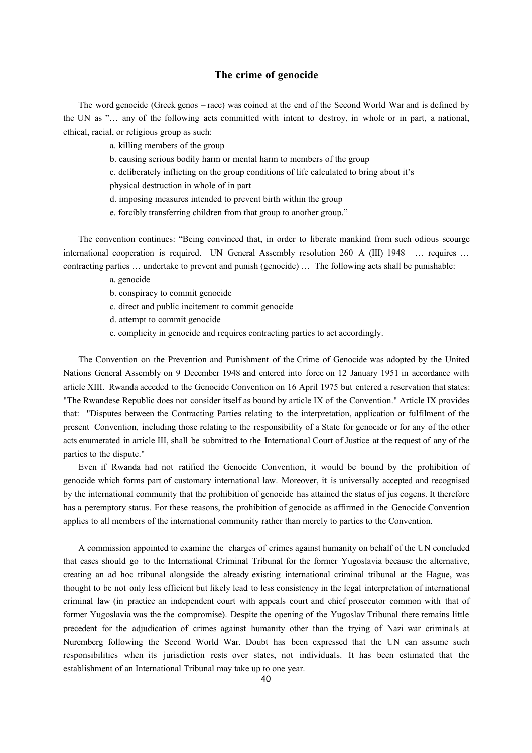### **The crime of genocide**

The word genocide (Greek genos – race) was coined at the end of the Second World War and is defined by the UN as "… any of the following acts committed with intent to destroy, in whole or in part, a national, ethical, racial, or religious group as such:

- a. killing members of the group
- b. causing serious bodily harm or mental harm to members of the group
- c. deliberately inflicting on the group conditions of life calculated to bring about it's
- physical destruction in whole of in part
- d. imposing measures intended to prevent birth within the group
- e. forcibly transferring children from that group to another group."

The convention continues: "Being convinced that, in order to liberate mankind from such odious scourge international cooperation is required. UN General Assembly resolution 260 A (III) 1948 ... requires ... contracting parties … undertake to prevent and punish (genocide) … The following acts shall be punishable:

- a. genocide
- b. conspiracy to commit genocide
- c. direct and public incitement to commit genocide
- d. attempt to commit genocide
- e. complicity in genocide and requires contracting parties to act accordingly.

The Convention on the Prevention and Punishment of the Crime of Genocide was adopted by the United Nations General Assembly on 9 December 1948 and entered into force on 12 January 1951 in accordance with article XIII. Rwanda acceded to the Genocide Convention on 16 April 1975 but entered a reservation that states: "The Rwandese Republic does not consider itself as bound by article IX of the Convention." Article IX provides that: "Disputes between the Contracting Parties relating to the interpretation, application or fulfilment of the present Convention, including those relating to the responsibility of a State for genocide or for any of the other acts enumerated in article III, shall be submitted to the International Court of Justice at the request of any of the parties to the dispute."

Even if Rwanda had not ratified the Genocide Convention, it would be bound by the prohibition of genocide which forms part of customary international law. Moreover, it is universally accepted and recognised by the international community that the prohibition of genocide has attained the status of jus cogens. It therefore has a peremptory status. For these reasons, the prohibition of genocide as affirmed in the Genocide Convention applies to all members of the international community rather than merely to parties to the Convention.

A commission appointed to examine the charges of crimes against humanity on behalf of the UN concluded that cases should go to the International Criminal Tribunal for the former Yugoslavia because the alternative, creating an ad hoc tribunal alongside the already existing international criminal tribunal at the Hague, was thought to be not only less efficient but likely lead to less consistency in the legal interpretation of international criminal law (in practice an independent court with appeals court and chief prosecutor common with that of former Yugoslavia was the the compromise). Despite the opening of the Yugoslav Tribunal there remains little precedent for the adjudication of crimes against humanity other than the trying of Nazi war criminals at Nuremberg following the Second World War. Doubt has been expressed that the UN can assume such responsibilities when its jurisdiction rests over states, not individuals. It has been estimated that the establishment of an International Tribunal may take up to one year.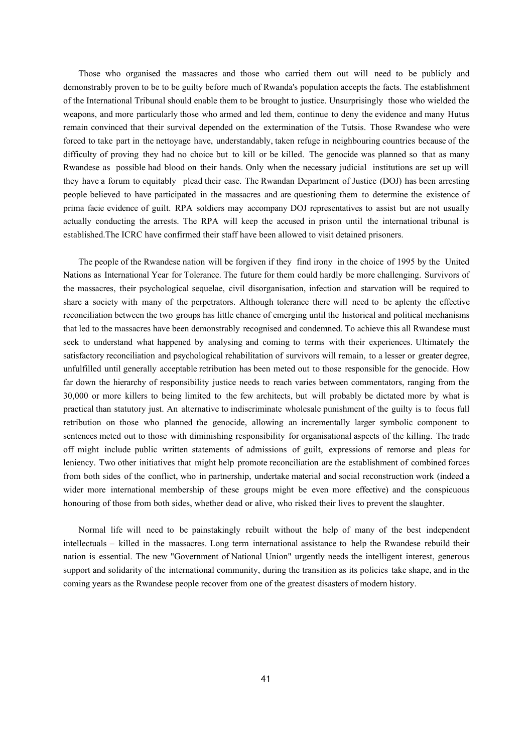Those who organised the massacres and those who carried them out will need to be publicly and demonstrably proven to be to be guilty before much of Rwanda's population accepts the facts. The establishment of the International Tribunal should enable them to be brought to justice. Unsurprisingly those who wielded the weapons, and more particularly those who armed and led them, continue to deny the evidence and many Hutus remain convinced that their survival depended on the extermination of the Tutsis. Those Rwandese who were forced to take part in the nettoyage have, understandably, taken refuge in neighbouring countries because of the difficulty of proving they had no choice but to kill or be killed. The genocide was planned so that as many Rwandese as possible had blood on their hands. Only when the necessary judicial institutions are set up will they have a forum to equitably plead their case. The Rwandan Department of Justice (DOJ) has been arresting people believed to have participated in the massacres and are questioning them to determine the existence of prima facie evidence of guilt. RPA soldiers may accompany DOJ representatives to assist but are not usually actually conducting the arrests. The RPA will keep the accused in prison until the international tribunal is established.The ICRC have confirmed their staff have been allowed to visit detained prisoners.

The people of the Rwandese nation will be forgiven if they find irony in the choice of 1995 by the United Nations as International Year for Tolerance. The future for them could hardly be more challenging. Survivors of the massacres, their psychological sequelae, civil disorganisation, infection and starvation will be required to share a society with many of the perpetrators. Although tolerance there will need to be aplenty the effective reconciliation between the two groups has little chance of emerging until the historical and political mechanisms that led to the massacres have been demonstrably recognised and condemned. To achieve this all Rwandese must seek to understand what happened by analysing and coming to terms with their experiences. Ultimately the satisfactory reconciliation and psychological rehabilitation of survivors will remain, to a lesser or greater degree, unfulfilled until generally acceptable retribution has been meted out to those responsible for the genocide. How far down the hierarchy of responsibility justice needs to reach varies between commentators, ranging from the 30,000 or more killers to being limited to the few architects, but will probably be dictated more by what is practical than statutory just. An alternative to indiscriminate wholesale punishment of the guilty is to focus full retribution on those who planned the genocide, allowing an incrementally larger symbolic component to sentences meted out to those with diminishing responsibility for organisational aspects of the killing. The trade off might include public written statements of admissions of guilt, expressions of remorse and pleas for leniency. Two other initiatives that might help promote reconciliation are the establishment of combined forces from both sides of the conflict, who in partnership, undertake material and social reconstruction work (indeed a wider more international membership of these groups might be even more effective) and the conspicuous honouring of those from both sides, whether dead or alive, who risked their lives to prevent the slaughter.

Normal life will need to be painstakingly rebuilt without the help of many of the best independent intellectuals – killed in the massacres. Long term international assistance to help the Rwandese rebuild their nation is essential. The new "Government of National Union" urgently needs the intelligent interest, generous support and solidarity of the international community, during the transition as its policies take shape, and in the coming years as the Rwandese people recover from one of the greatest disasters of modern history.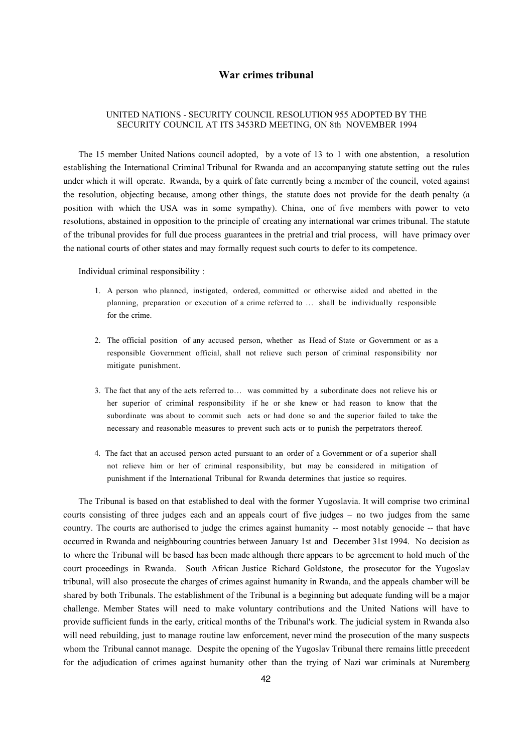### **War crimes tribunal**

### UNITED NATIONS - SECURITY COUNCIL RESOLUTION 955 ADOPTED BY THE SECURITY COUNCIL AT ITS 3453RD MEETING, ON 8th NOVEMBER 1994

The 15 member United Nations council adopted, by a vote of 13 to 1 with one abstention, a resolution establishing the International Criminal Tribunal for Rwanda and an accompanying statute setting out the rules under which it will operate. Rwanda, by a quirk of fate currently being a member of the council, voted against the resolution, objecting because, among other things, the statute does not provide for the death penalty (a position with which the USA was in some sympathy). China, one of five members with power to veto resolutions, abstained in opposition to the principle of creating any international war crimes tribunal. The statute of the tribunal provides for full due process guarantees in the pretrial and trial process, will have primacy over the national courts of other states and may formally request such courts to defer to its competence.

Individual criminal responsibility :

- 1. A person who planned, instigated, ordered, committed or otherwise aided and abetted in the planning, preparation or execution of a crime referred to … shall be individually responsible for the crime.
- 2. The official position of any accused person, whether as Head of State or Government or as a responsible Government official, shall not relieve such person of criminal responsibility nor mitigate punishment.
- 3. The fact that any of the acts referred to… was committed by a subordinate does not relieve his or her superior of criminal responsibility if he or she knew or had reason to know that the subordinate was about to commit such acts or had done so and the superior failed to take the necessary and reasonable measures to prevent such acts or to punish the perpetrators thereof.
- 4. The fact that an accused person acted pursuant to an order of a Government or of a superior shall not relieve him or her of criminal responsibility, but may be considered in mitigation of punishment if the International Tribunal for Rwanda determines that justice so requires.

The Tribunal is based on that established to deal with the former Yugoslavia. It will comprise two criminal courts consisting of three judges each and an appeals court of five judges – no two judges from the same country. The courts are authorised to judge the crimes against humanity -- most notably genocide -- that have occurred in Rwanda and neighbouring countries between January 1st and December 31st 1994. No decision as to where the Tribunal will be based has been made although there appears to be agreement to hold much of the court proceedings in Rwanda. South African Justice Richard Goldstone, the prosecutor for the Yugoslav tribunal, will also prosecute the charges of crimes against humanity in Rwanda, and the appeals chamber will be shared by both Tribunals. The establishment of the Tribunal is a beginning but adequate funding will be a major challenge. Member States will need to make voluntary contributions and the United Nations will have to provide sufficient funds in the early, critical months of the Tribunal's work. The judicial system in Rwanda also will need rebuilding, just to manage routine law enforcement, never mind the prosecution of the many suspects whom the Tribunal cannot manage. Despite the opening of the Yugoslav Tribunal there remains little precedent for the adjudication of crimes against humanity other than the trying of Nazi war criminals at Nuremberg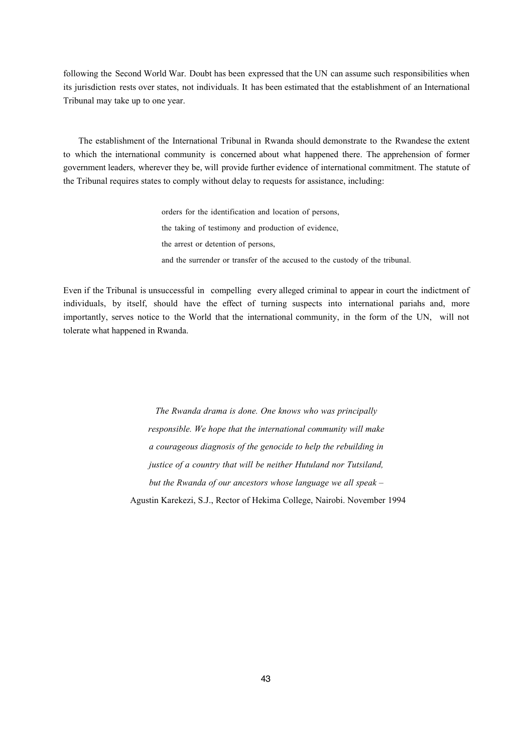following the Second World War. Doubt has been expressed that the UN can assume such responsibilities when its jurisdiction rests over states, not individuals. It has been estimated that the establishment of an International Tribunal may take up to one year.

The establishment of the International Tribunal in Rwanda should demonstrate to the Rwandese the extent to which the international community is concerned about what happened there. The apprehension of former government leaders, wherever they be, will provide further evidence of international commitment. The statute of the Tribunal requires states to comply without delay to requests for assistance, including:

> orders for the identification and location of persons, the taking of testimony and production of evidence, the arrest or detention of persons, and the surrender or transfer of the accused to the custody of the tribunal.

Even if the Tribunal is unsuccessful in compelling every alleged criminal to appear in court the indictment of individuals, by itself, should have the effect of turning suspects into international pariahs and, more importantly, serves notice to the World that the international community, in the form of the UN, will not tolerate what happened in Rwanda.

> *The Rwanda drama is done. One knows who was principally responsible. We hope that the international community will make a courageous diagnosis of the genocide to help the rebuilding in justice of a country that will be neither Hutuland nor Tutsiland, but the Rwanda of our ancestors whose language we all speak* – Agustin Karekezi, S.J., Rector of Hekima College, Nairobi. November 1994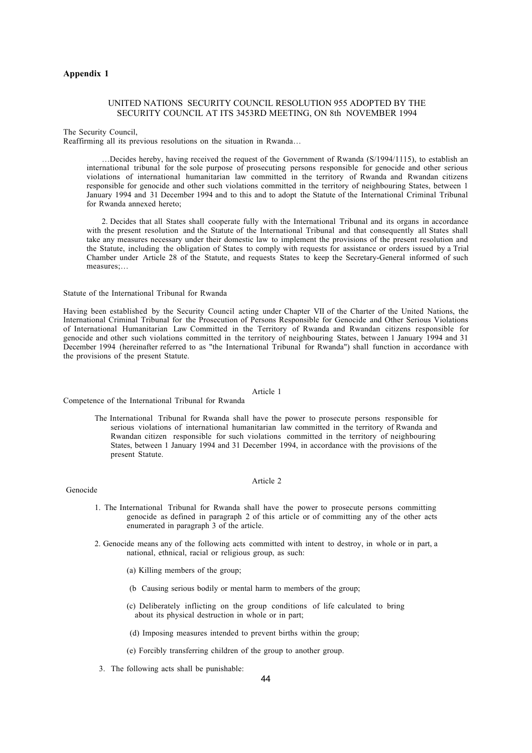### **Appendix 1**

Genocide

#### UNITED NATIONS SECURITY COUNCIL RESOLUTION 955 ADOPTED BY THE SECURITY COUNCIL AT ITS 3453RD MEETING, ON 8th NOVEMBER 1994

The Security Council,

Reaffirming all its previous resolutions on the situation in Rwanda…

…Decides hereby, having received the request of the Government of Rwanda (S/1994/1115), to establish an international tribunal for the sole purpose of prosecuting persons responsible for genocide and other serious violations of international humanitarian law committed in the territory of Rwanda and Rwandan citizens responsible for genocide and other such violations committed in the territory of neighbouring States, between 1 January 1994 and 31 December 1994 and to this and to adopt the Statute of the International Criminal Tribunal for Rwanda annexed hereto;

2. Decides that all States shall cooperate fully with the International Tribunal and its organs in accordance with the present resolution and the Statute of the International Tribunal and that consequently all States shall take any measures necessary under their domestic law to implement the provisions of the present resolution and the Statute, including the obligation of States to comply with requests for assistance or orders issued by a Trial Chamber under Article 28 of the Statute, and requests States to keep the Secretary-General informed of such measures;…

#### Statute of the International Tribunal for Rwanda

Having been established by the Security Council acting under Chapter VII of the Charter of the United Nations, the International Criminal Tribunal for the Prosecution of Persons Responsible for Genocide and Other Serious Violations of International Humanitarian Law Committed in the Territory of Rwanda and Rwandan citizens responsible for genocide and other such violations committed in the territory of neighbouring States, between 1 January 1994 and 31 December 1994 (hereinafter referred to as "the International Tribunal for Rwanda") shall function in accordance with the provisions of the present Statute.

#### Article 1

Competence of the International Tribunal for Rwanda

The International Tribunal for Rwanda shall have the power to prosecute persons responsible for serious violations of international humanitarian law committed in the territory of Rwanda and Rwandan citizen responsible for such violations committed in the territory of neighbouring States, between 1 January 1994 and 31 December 1994, in accordance with the provisions of the present Statute.

#### Article 2

- 1. The International Tribunal for Rwanda shall have the power to prosecute persons committing genocide as defined in paragraph 2 of this article or of committing any of the other acts enumerated in paragraph 3 of the article.
- 2. Genocide means any of the following acts committed with intent to destroy, in whole or in part, a national, ethnical, racial or religious group, as such:
	- (a) Killing members of the group;
	- (b Causing serious bodily or mental harm to members of the group;
	- (c) Deliberately inflicting on the group conditions of life calculated to bring about its physical destruction in whole or in part;
	- (d) Imposing measures intended to prevent births within the group;
	- (e) Forcibly transferring children of the group to another group.
- 3. The following acts shall be punishable: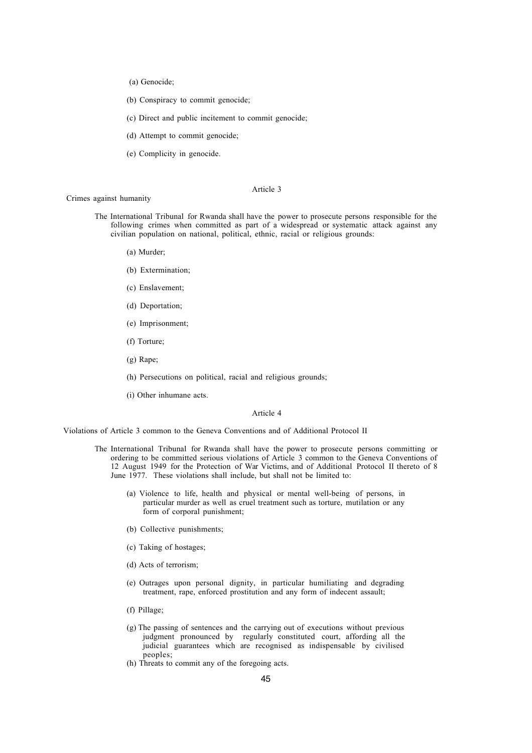- (a) Genocide;
- (b) Conspiracy to commit genocide;
- (c) Direct and public incitement to commit genocide;
- (d) Attempt to commit genocide;
- (e) Complicity in genocide.

#### Article 3

#### Crimes against humanity

- The International Tribunal for Rwanda shall have the power to prosecute persons responsible for the following crimes when committed as part of a widespread or systematic attack against any civilian population on national, political, ethnic, racial or religious grounds:
	- (a) Murder;
	- (b) Extermination;
	- (c) Enslavement;
	- (d) Deportation;
	- (e) Imprisonment;
	- (f) Torture;
	- (g) Rape;
	- (h) Persecutions on political, racial and religious grounds;
	- (i) Other inhumane acts.

#### Article 4

Violations of Article 3 common to the Geneva Conventions and of Additional Protocol II

- The International Tribunal for Rwanda shall have the power to prosecute persons committing or ordering to be committed serious violations of Article 3 common to the Geneva Conventions of 12 August 1949 for the Protection of War Victims, and of Additional Protocol II thereto of 8 June 1977. These violations shall include, but shall not be limited to:
	- (a) Violence to life, health and physical or mental well-being of persons, in particular murder as well as cruel treatment such as torture, mutilation or any form of corporal punishment;
	- (b) Collective punishments;
	- (c) Taking of hostages;
	- (d) Acts of terrorism;
	- (e) Outrages upon personal dignity, in particular humiliating and degrading treatment, rape, enforced prostitution and any form of indecent assault;
	- (f) Pillage;
	- (g) The passing of sentences and the carrying out of executions without previous judgment pronounced by regularly constituted court, affording all the judicial guarantees which are recognised as indispensable by civilised peoples;
	- (h) Threats to commit any of the foregoing acts.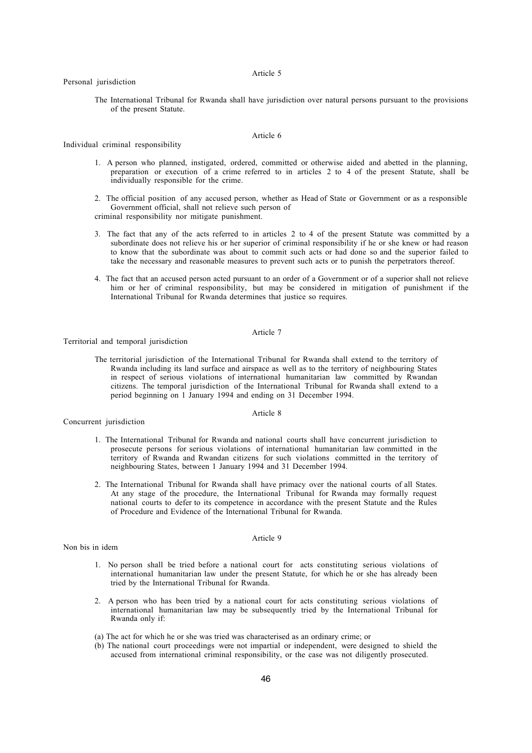#### Article 5

#### Personal jurisdiction

The International Tribunal for Rwanda shall have jurisdiction over natural persons pursuant to the provisions of the present Statute.

#### Article 6

Individual criminal responsibility

1. A person who planned, instigated, ordered, committed or otherwise aided and abetted in the planning, preparation or execution of a crime referred to in articles 2 to 4 of the present Statute, shall be individually responsible for the crime.

2. The official position of any accused person, whether as Head of State or Government or as a responsible Government official, shall not relieve such person of criminal responsibility nor mitigate punishment.

- 3. The fact that any of the acts referred to in articles 2 to 4 of the present Statute was committed by a subordinate does not relieve his or her superior of criminal responsibility if he or she knew or had reason to know that the subordinate was about to commit such acts or had done so and the superior failed to take the necessary and reasonable measures to prevent such acts or to punish the perpetrators thereof.
- 4. The fact that an accused person acted pursuant to an order of a Government or of a superior shall not relieve him or her of criminal responsibility, but may be considered in mitigation of punishment if the International Tribunal for Rwanda determines that justice so requires.

#### Article 7

Territorial and temporal jurisdiction

The territorial jurisdiction of the International Tribunal for Rwanda shall extend to the territory of Rwanda including its land surface and airspace as well as to the territory of neighbouring States in respect of serious violations of international humanitarian law committed by Rwandan citizens. The temporal jurisdiction of the International Tribunal for Rwanda shall extend to a period beginning on 1 January 1994 and ending on 31 December 1994.

Article 8

Concurrent jurisdiction

- 1. The International Tribunal for Rwanda and national courts shall have concurrent jurisdiction to prosecute persons for serious violations of international humanitarian law committed in the territory of Rwanda and Rwandan citizens for such violations committed in the territory of neighbouring States, between 1 January 1994 and 31 December 1994.
- 2. The International Tribunal for Rwanda shall have primacy over the national courts of all States. At any stage of the procedure, the International Tribunal for Rwanda may formally request national courts to defer to its competence in accordance with the present Statute and the Rules of Procedure and Evidence of the International Tribunal for Rwanda.

#### Non bis in idem

- 1. No person shall be tried before a national court for acts constituting serious violations of international humanitarian law under the present Statute, for which he or she has already been tried by the International Tribunal for Rwanda.
- 2. A person who has been tried by a national court for acts constituting serious violations of international humanitarian law may be subsequently tried by the International Tribunal for Rwanda only if:
- (a) The act for which he or she was tried was characterised as an ordinary crime; or
- (b) The national court proceedings were not impartial or independent, were designed to shield the accused from international criminal responsibility, or the case was not diligently prosecuted.

#### Article 9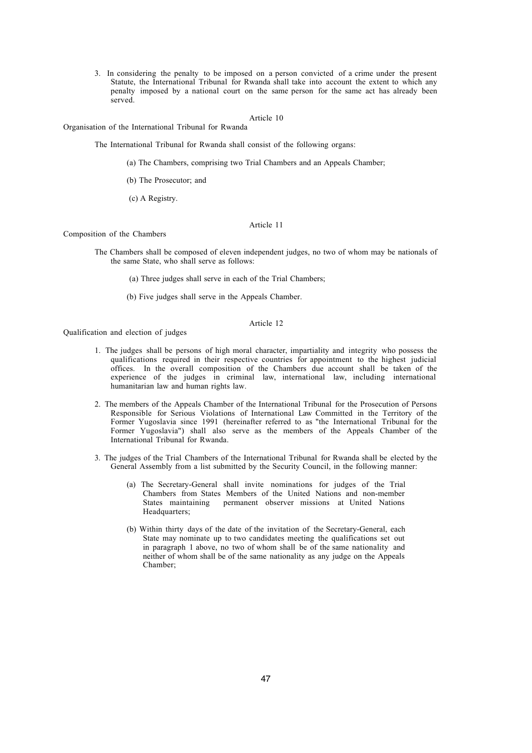3. In considering the penalty to be imposed on a person convicted of a crime under the present Statute, the International Tribunal for Rwanda shall take into account the extent to which any penalty imposed by a national court on the same person for the same act has already been served.

Article 10

Organisation of the International Tribunal for Rwanda

The International Tribunal for Rwanda shall consist of the following organs:

- (a) The Chambers, comprising two Trial Chambers and an Appeals Chamber;
- (b) The Prosecutor; and
- (c) A Registry.

#### Article 11

Composition of the Chambers

- The Chambers shall be composed of eleven independent judges, no two of whom may be nationals of the same State, who shall serve as follows:
	- (a) Three judges shall serve in each of the Trial Chambers;
	- (b) Five judges shall serve in the Appeals Chamber.

#### Article 12

Qualification and election of judges

- 1. The judges shall be persons of high moral character, impartiality and integrity who possess the qualifications required in their respective countries for appointment to the highest judicial offices. In the overall composition of the Chambers due account shall be taken of the experience of the judges in criminal law, international law, including international humanitarian law and human rights law.
- 2. The members of the Appeals Chamber of the International Tribunal for the Prosecution of Persons Responsible for Serious Violations of International Law Committed in the Territory of the Former Yugoslavia since 1991 (hereinafter referred to as "the International Tribunal for the Former Yugoslavia") shall also serve as the members of the Appeals Chamber of the International Tribunal for Rwanda.
- 3. The judges of the Trial Chambers of the International Tribunal for Rwanda shall be elected by the General Assembly from a list submitted by the Security Council, in the following manner:
	- (a) The Secretary-General shall invite nominations for judges of the Trial Chambers from States Members of the United Nations and non-member States maintaining permanent observer missions at United Nations Headquarters;
	- (b) Within thirty days of the date of the invitation of the Secretary-General, each State may nominate up to two candidates meeting the qualifications set out in paragraph 1 above, no two of whom shall be of the same nationality and neither of whom shall be of the same nationality as any judge on the Appeals Chamber;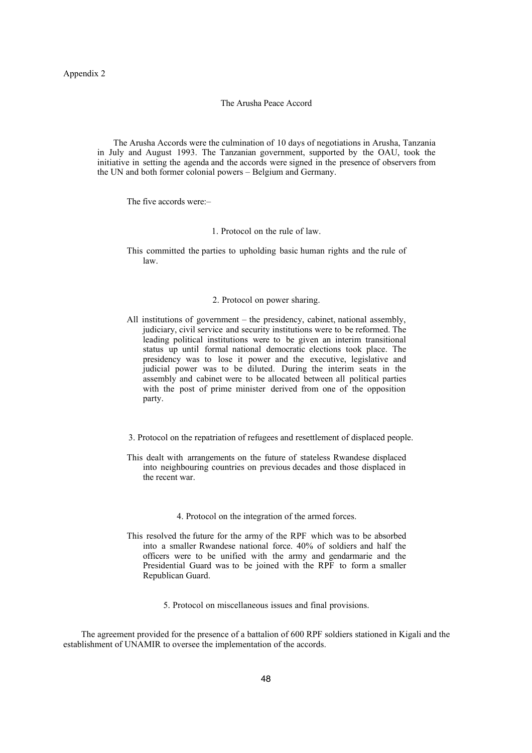### The Arusha Peace Accord

The Arusha Accords were the culmination of 10 days of negotiations in Arusha, Tanzania in July and August 1993. The Tanzanian government, supported by the OAU, took the initiative in setting the agenda and the accords were signed in the presence of observers from the UN and both former colonial powers – Belgium and Germany.

The five accords were:–

1. Protocol on the rule of law.

This committed the parties to upholding basic human rights and the rule of law.

#### 2. Protocol on power sharing.

- All institutions of government the presidency, cabinet, national assembly, judiciary, civil service and security institutions were to be reformed. The leading political institutions were to be given an interim transitional status up until formal national democratic elections took place. The presidency was to lose it power and the executive, legislative and judicial power was to be diluted. During the interim seats in the assembly and cabinet were to be allocated between all political parties with the post of prime minister derived from one of the opposition party.
- 3. Protocol on the repatriation of refugees and resettlement of displaced people.
- This dealt with arrangements on the future of stateless Rwandese displaced into neighbouring countries on previous decades and those displaced in the recent war.

#### 4. Protocol on the integration of the armed forces.

- This resolved the future for the army of the RPF which was to be absorbed into a smaller Rwandese national force. 40% of soldiers and half the officers were to be unified with the army and gendarmarie and the Presidential Guard was to be joined with the RPF to form a smaller Republican Guard.
	- 5. Protocol on miscellaneous issues and final provisions.

The agreement provided for the presence of a battalion of 600 RPF soldiers stationed in Kigali and the establishment of UNAMIR to oversee the implementation of the accords.